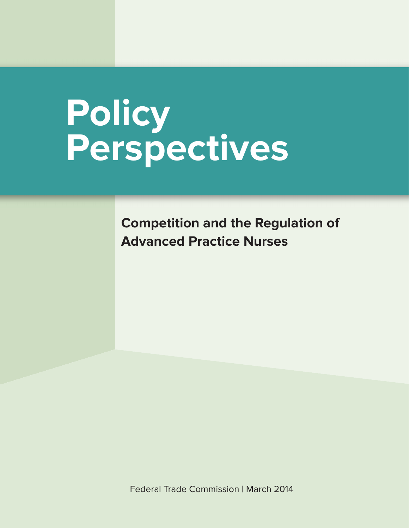# **Policy Perspectives**

**Competition and the Regulation of Advanced Practice Nurses**

[Federal Trade Commission | March 2014](http://ftc.gov)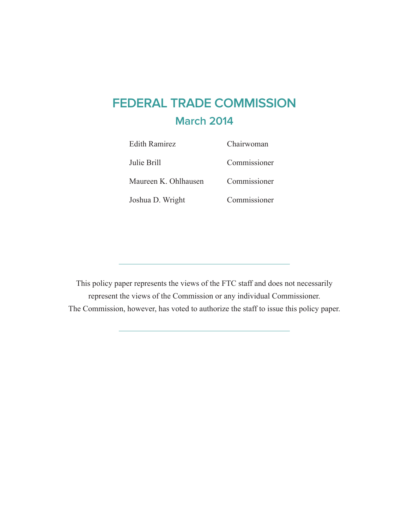## **FEDERAL TRADE COMMISSION March 2014**

| <b>Edith Ramirez</b> | Chairwoman   |
|----------------------|--------------|
| Julie Brill          | Commissioner |
| Maureen K. Ohlhausen | Commissioner |
| Joshua D. Wright     | Commissioner |

This policy paper represents the views of the FTC staff and does not necessarily represent the views of the Commission or any individual Commissioner. The Commission, however, has voted to authorize the staff to issue this policy paper.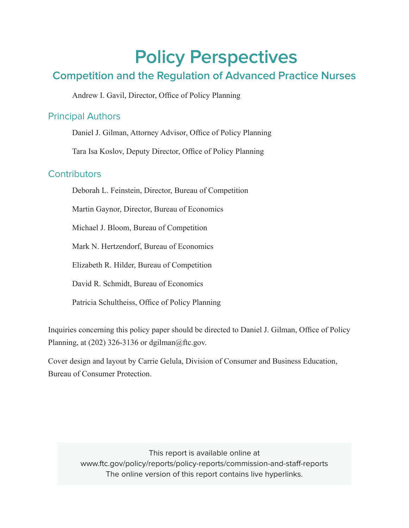## **Policy Perspectives**

### **Competition and the Regulation of Advanced Practice Nurses**

Andrew I. Gavil, Director, Office of Policy Planning

#### Principal Authors

Daniel J. Gilman, Attorney Advisor, Office of Policy Planning

Tara Isa Koslov, Deputy Director, Office of Policy Planning

#### **Contributors**

Deborah L. Feinstein, Director, Bureau of Competition

Martin Gaynor, Director, Bureau of Economics

Michael J. Bloom, Bureau of Competition

Mark N. Hertzendorf, Bureau of Economics

Elizabeth R. Hilder, Bureau of Competition

David R. Schmidt, Bureau of Economics

Patricia Schultheiss, Office of Policy Planning

Inquiries concerning this policy paper should be directed to Daniel J. Gilman, Office of Policy Planning, at  $(202)$  326-3136 or dgilman $@$ ftc.gov.

Cover design and layout by Carrie Gelula, Division of Consumer and Business Education, Bureau of Consumer Protection.

> This report is available online at [www.ftc.gov/policy/reports/policy-reports/commission-and-staff-reports](http://www.ftc.gov/policy/reports/policy-reports/commission-and-staff-reports) The online version of this report contains live hyperlinks.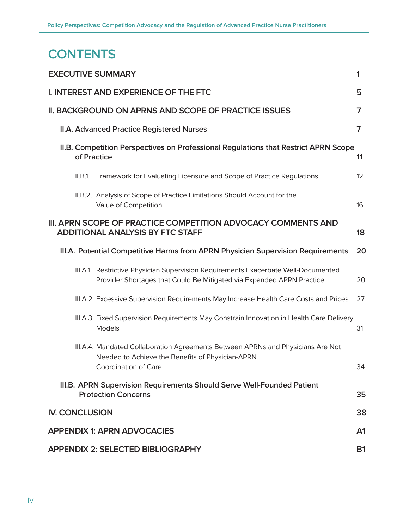## **CONTENTS**

|                       | <b>EXECUTIVE SUMMARY</b>                                                                                                                                    | 1               |
|-----------------------|-------------------------------------------------------------------------------------------------------------------------------------------------------------|-----------------|
|                       | I. INTEREST AND EXPERIENCE OF THE FTC                                                                                                                       | 5               |
|                       | II. BACKGROUND ON APRNS AND SCOPE OF PRACTICE ISSUES                                                                                                        | 7               |
|                       | II.A. Advanced Practice Registered Nurses                                                                                                                   | $\overline{7}$  |
|                       | II.B. Competition Perspectives on Professional Regulations that Restrict APRN Scope<br>of Practice                                                          | 11              |
|                       | II.B.1. Framework for Evaluating Licensure and Scope of Practice Regulations                                                                                | 12 <sup>°</sup> |
|                       | II.B.2. Analysis of Scope of Practice Limitations Should Account for the<br>Value of Competition                                                            | 16              |
|                       | III. APRN SCOPE OF PRACTICE COMPETITION ADVOCACY COMMENTS AND<br><b>ADDITIONAL ANALYSIS BY FTC STAFF</b>                                                    | 18              |
|                       | III.A. Potential Competitive Harms from APRN Physician Supervision Requirements                                                                             | 20              |
|                       | III.A.1. Restrictive Physician Supervision Requirements Exacerbate Well-Documented<br>Provider Shortages that Could Be Mitigated via Expanded APRN Practice | 20              |
|                       | III.A.2. Excessive Supervision Requirements May Increase Health Care Costs and Prices                                                                       | 27              |
|                       | III.A.3. Fixed Supervision Requirements May Constrain Innovation in Health Care Delivery<br>Models                                                          | 31              |
|                       | III.A.4. Mandated Collaboration Agreements Between APRNs and Physicians Are Not<br>Needed to Achieve the Benefits of Physician-APRN<br>Coordination of Care | 34              |
|                       | III.B. APRN Supervision Requirements Should Serve Well-Founded Patient<br><b>Protection Concerns</b>                                                        | 35              |
| <b>IV. CONCLUSION</b> |                                                                                                                                                             | 38              |
|                       | <b>APPENDIX 1: APRN ADVOCACIES</b>                                                                                                                          | A <sub>1</sub>  |
|                       | <b>APPENDIX 2: SELECTED BIBLIOGRAPHY</b>                                                                                                                    | <b>B1</b>       |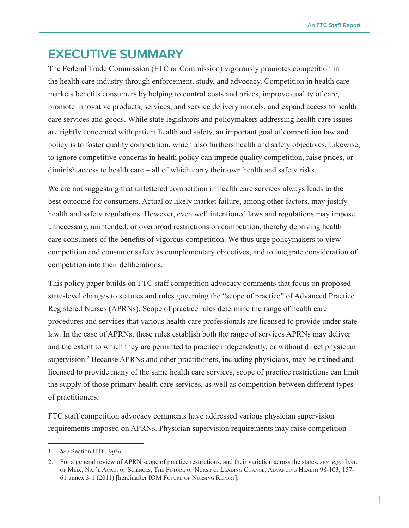## <span id="page-4-0"></span>**EXECUTIVE SUMMARY**

The Federal Trade Commission (FTC or Commission) vigorously promotes competition in the health care industry through enforcement, study, and advocacy. Competition in health care markets benefits consumers by helping to control costs and prices, improve quality of care, promote innovative products, services, and service delivery models, and expand access to health care services and goods. While state legislators and policymakers addressing health care issues are rightly concerned with patient health and safety, an important goal of competition law and policy is to foster quality competition, which also furthers health and safety objectives. Likewise, to ignore competitive concerns in health policy can impede quality competition, raise prices, or diminish access to health care – all of which carry their own health and safety risks.

We are not suggesting that unfettered competition in health care services always leads to the best outcome for consumers. Actual or likely market failure, among other factors, may justify health and safety regulations. However, even well intentioned laws and regulations may impose unnecessary, unintended, or overbroad restrictions on competition, thereby depriving health care consumers of the benefits of vigorous competition. We thus urge policymakers to view competition and consumer safety as complementary objectives, and to integrate consideration of competition into their deliberations.<sup>1</sup>

This policy paper builds on FTC staff competition advocacy comments that focus on proposed state-level changes to statutes and rules governing the "scope of practice" of Advanced Practice Registered Nurses (APRNs). Scope of practice rules determine the range of health care procedures and services that various health care professionals are licensed to provide under state law. In the case of APRNs, these rules establish both the range of services APRNs may deliver and the extent to which they are permitted to practice independently, or without direct physician supervision.<sup>2</sup> Because APRNs and other practitioners, including physicians, may be trained and licensed to provide many of the same health care services, scope of practice restrictions can limit the supply of those primary health care services, as well as competition between different types of practitioners.

FTC staff competition advocacy comments have addressed various physician supervision requirements imposed on APRNs. Physician supervision requirements may raise competition

<sup>1.</sup> *See* Section II.B., *infra.*

<sup>2.</sup> For a general review of APRN scope of practice restrictions, and their variation across the states, *see, e.g.,* Inst. of Med., Nat'l Acad. of Sciences, The Future of Nursing: Leading Change, Advancing Health 98-103, 157- 61 annex 3-1 (2011) [hereinafter IOM Future of Nursing Report].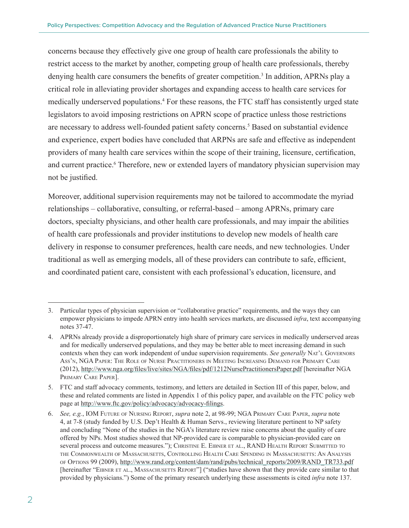concerns because they effectively give one group of health care professionals the ability to restrict access to the market by another, competing group of health care professionals, thereby denying health care consumers the benefits of greater competition.<sup>3</sup> In addition, APRNs play a critical role in alleviating provider shortages and expanding access to health care services for medically underserved populations.<sup>4</sup> For these reasons, the FTC staff has consistently urged state legislators to avoid imposing restrictions on APRN scope of practice unless those restrictions are necessary to address well-founded patient safety concerns.<sup>5</sup> Based on substantial evidence and experience, expert bodies have concluded that ARPNs are safe and effective as independent providers of many health care services within the scope of their training, licensure, certification, and current practice.<sup>6</sup> Therefore, new or extended layers of mandatory physician supervision may not be justified.

Moreover, additional supervision requirements may not be tailored to accommodate the myriad relationships – collaborative, consulting, or referral-based – among APRNs, primary care doctors, specialty physicians, and other health care professionals, and may impair the abilities of health care professionals and provider institutions to develop new models of health care delivery in response to consumer preferences, health care needs, and new technologies. Under traditional as well as emerging models, all of these providers can contribute to safe, efficient, and coordinated patient care, consistent with each professional's education, licensure, and

<sup>3.</sup> Particular types of physician supervision or "collaborative practice" requirements, and the ways they can empower physicians to impede APRN entry into health services markets, are discussed *infra*, text accompanying notes 37-47.

<sup>4.</sup> APRNs already provide a disproportionately high share of primary care services in medically underserved areas and for medically underserved populations, and they may be better able to meet increasing demand in such contexts when they can work independent of undue supervision requirements. *See generally* Nat'l Governors Ass'n, NGA Paper: The Role of Nurse Practitioners in Meeting Increasing Demand for Primary Care (2012), <http://www.nga.org/files/live/sites/NGA/files/pdf/1212NursePractitionersPaper.pdf> [hereinafter NGA Primary Care Paper].

<sup>5.</sup> FTC and staff advocacy comments, testimony, and letters are detailed in Section III of this paper, below, and these and related comments are listed in Appendix 1 of this policy paper, and available on the FTC policy web page at <http://www.ftc.gov/policy/advocacy/advocacy-filings>.

<sup>6.</sup> *See, e.g.*, IOM Future of Nursing Report, *supra* note 2, at 98-99; NGA Primary Care Paper, *supra* note 4, at 7-8 (study funded by U.S. Dep't Health & Human Servs., reviewing literature pertinent to NP safety and concluding "None of the studies in the NGA's literature review raise concerns about the quality of care offered by NPs. Most studies showed that NP-provided care is comparable to physician-provided care on several process and outcome measures."); CHRISTINE E. EIBNER ET AL., RAND HEALTH REPORT SUBMITTED TO the Commonwealth of Massachusetts, Controlling Health Care Spending in Massachusetts: An Analysis of Options 99 (2009), [http://www.rand.org/content/dam/rand/pubs/technical\\_reports/2009/RAND\\_TR733.pdf](http://www.rand.org/content/dam/rand/pubs/technical_reports/2009/RAND_TR733.pdf) [hereinafter "EIBNER ET AL., MASSACHUSETTS REPORT"] ("studies have shown that they provide care similar to that provided by physicians.") Some of the primary research underlying these assessments is cited *infra* note 137.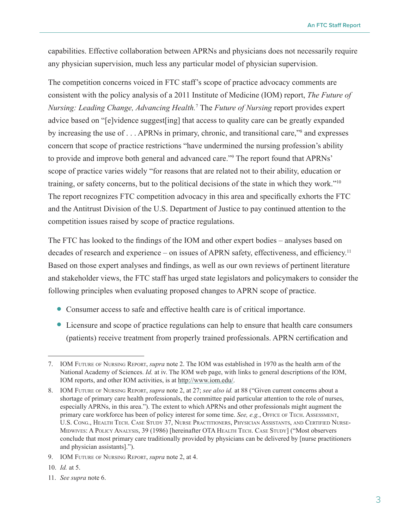capabilities. Effective collaboration between APRNs and physicians does not necessarily require any physician supervision, much less any particular model of physician supervision.

The competition concerns voiced in FTC staff's scope of practice advocacy comments are consistent with the policy analysis of a 2011 Institute of Medicine (IOM) report, *The Future of Nursing: Leading Change, Advancing Health.*<sup>7</sup> The *Future of Nursing* report provides expert advice based on "[e]vidence suggest[ing] that access to quality care can be greatly expanded by increasing the use of . . . APRNs in primary, chronic, and transitional care,"<sup>8</sup> and expresses concern that scope of practice restrictions "have undermined the nursing profession's ability to provide and improve both general and advanced care."9 The report found that APRNs' scope of practice varies widely "for reasons that are related not to their ability, education or training, or safety concerns, but to the political decisions of the state in which they work."10 The report recognizes FTC competition advocacy in this area and specifically exhorts the FTC and the Antitrust Division of the U.S. Department of Justice to pay continued attention to the competition issues raised by scope of practice regulations.

The FTC has looked to the findings of the IOM and other expert bodies – analyses based on decades of research and experience – on issues of APRN safety, effectiveness, and efficiency.<sup>11</sup> Based on those expert analyses and findings, as well as our own reviews of pertinent literature and stakeholder views, the FTC staff has urged state legislators and policymakers to consider the following principles when evaluating proposed changes to APRN scope of practice.

- <sup>O</sup> Consumer access to safe and effective health care is of critical importance.
- <sup>O</sup> Licensure and scope of practice regulations can help to ensure that health care consumers (patients) receive treatment from properly trained professionals. APRN certification and

- 10. *Id.* at 5.
- 11. *See supra* note 6.

<sup>7.</sup> IOM Future of Nursing Report, *supra* note 2. The IOM was established in 1970 as the health arm of the National Academy of Sciences. *Id.* at iv. The IOM web page, with links to general descriptions of the IOM, IOM reports, and other IOM activities, is at <http://www.iom.edu/>.

<sup>8.</sup> IOM Future of Nursing Report, *supra* note 2, at 27; *see also id.* at 88 ("Given current concerns about a shortage of primary care health professionals, the committee paid particular attention to the role of nurses, especially APRNs, in this area."). The extent to which APRNs and other professionals might augment the primary care workforce has been of policy interest for some time. *See, e.g.*, OFFICE OF TECH. ASSESSMENT, U.S. Cong., Health Tech. Case Study 37, Nurse Practitioners, Physician Assistants, and Certified Nurse-Midwives: A Policy Analysis, 39 (1986) [hereinafter OTA Health Tech. Case Study] ("Most observers conclude that most primary care traditionally provided by physicians can be delivered by [nurse practitioners and physician assistants].").

<sup>9.</sup> IOM Future of Nursing Report, *supra* note 2, at 4.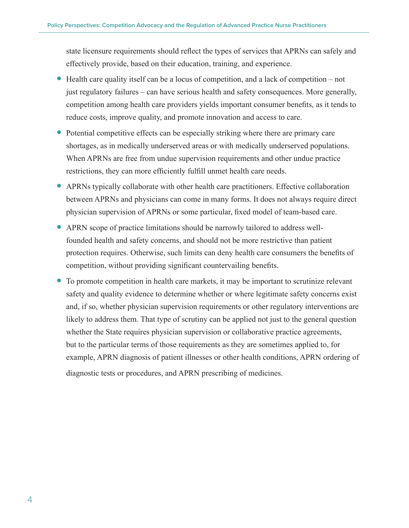state licensure requirements should reflect the types of services that APRNs can safely and effectively provide, based on their education, training, and experience.

- <sup>O</sup> Health care quality itself can be a locus of competition, and a lack of competition not just regulatory failures – can have serious health and safety consequences. More generally, competition among health care providers yields important consumer benefits, as it tends to reduce costs, improve quality, and promote innovation and access to care.
- <sup>O</sup> Potential competitive effects can be especially striking where there are primary care shortages, as in medically underserved areas or with medically underserved populations. When APRNs are free from undue supervision requirements and other undue practice restrictions, they can more efficiently fulfill unmet health care needs.
- <sup>O</sup> APRNs typically collaborate with other health care practitioners. Effective collaboration between APRNs and physicians can come in many forms. It does not always require direct physician supervision of APRNs or some particular, fixed model of team-based care.
- <sup>O</sup> APRN scope of practice limitations should be narrowly tailored to address wellfounded health and safety concerns, and should not be more restrictive than patient protection requires. Otherwise, such limits can deny health care consumers the benefits of competition, without providing significant countervailing benefits.
- <sup>O</sup> To promote competition in health care markets, it may be important to scrutinize relevant safety and quality evidence to determine whether or where legitimate safety concerns exist and, if so, whether physician supervision requirements or other regulatory interventions are likely to address them. That type of scrutiny can be applied not just to the general question whether the State requires physician supervision or collaborative practice agreements, but to the particular terms of those requirements as they are sometimes applied to, for example, APRN diagnosis of patient illnesses or other health conditions, APRN ordering of diagnostic tests or procedures, and APRN prescribing of medicines.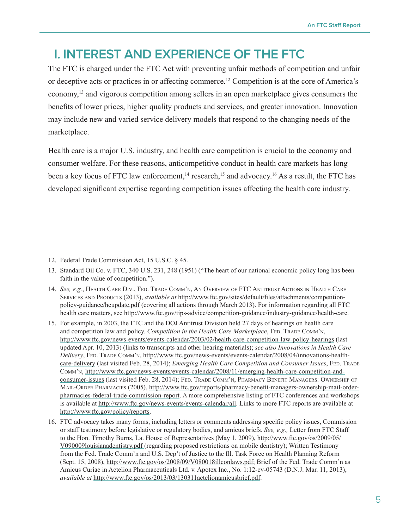## <span id="page-8-0"></span>**I. INTEREST AND EXPERIENCE OF THE FTC**

The FTC is charged under the FTC Act with preventing unfair methods of competition and unfair or deceptive acts or practices in or affecting commerce.<sup>12</sup> Competition is at the core of America's economy,<sup>13</sup> and vigorous competition among sellers in an open marketplace gives consumers the benefits of lower prices, higher quality products and services, and greater innovation. Innovation may include new and varied service delivery models that respond to the changing needs of the marketplace.

Health care is a major U.S. industry, and health care competition is crucial to the economy and consumer welfare. For these reasons, anticompetitive conduct in health care markets has long been a key focus of FTC law enforcement,<sup>14</sup> research,<sup>15</sup> and advocacy.<sup>16</sup> As a result, the FTC has developed significant expertise regarding competition issues affecting the health care industry.

<sup>12.</sup> Federal Trade Commission Act, 15 U.S.C. § 45.

<sup>13.</sup> Standard Oil Co. v. FTC, 340 U.S. 231, 248 (1951) ("The heart of our national economic policy long has been faith in the value of competition.").

<sup>14.</sup> *See, e.g.*, Health Care Div., Fed. Trade Comm'n, An Overview of FTC Antitrust Actions in Health Care Services and Products (2013), *available at* [http://www.ftc.gov/sites/default/files/attachments/competition](http://www.ftc.gov/sites/default/files/attachments/competition-policy-guidance/hcupdate.pdf)[policy-guidance/hcupdate.pdf](http://www.ftc.gov/sites/default/files/attachments/competition-policy-guidance/hcupdate.pdf) (covering all actions through March 2013). For information regarding all FTC health care matters, see <http://www.ftc.gov/tips-advice/competition-guidance/industry-guidance/health-care>.

<sup>15.</sup> For example, in 2003, the FTC and the DOJ Antitrust Division held 27 days of hearings on health care and competition law and policy. *Competition in the Health Care Marketplace*, FED. TRADE COMM'N, <http://www.ftc.gov/news-events/events-calendar/2003/02/health-care-competition-law-policy-hearings> (last updated Apr. 10, 2013) (links to transcripts and other hearing materials); *see also Innovations in Health Care Delivery*, Fed. Trade Comm'n, [http://www.ftc.gov/news-events/events-calendar/2008/04/innovations-health](http://www.ftc.gov/news-events/events-calendar/2008/04/innovations-health-care-delivery)[care-delivery](http://www.ftc.gov/news-events/events-calendar/2008/04/innovations-health-care-delivery) (last visited Feb. 28, 2014); *Emerging Health Care Competition and Consumer Issues*, FED. TRADE Comm'n, [http://www.ftc.gov/news-events/events-calendar/2008/11/emerging-health-care-competition-and](http://www.ftc.gov/news-events/events-calendar/2008/11/emerging-health-care-competition-and-consumer-issues)[consumer-issues](http://www.ftc.gov/news-events/events-calendar/2008/11/emerging-health-care-competition-and-consumer-issues) (last visited Feb. 28, 2014); Fed. Trade Comm'n, Pharmacy Benefit Managers: Ownership of Mail-Order Pharmacies (2005), [http://www.ftc.gov/reports/pharmacy-benefit-managers-ownership-mail-order](http://www.ftc.gov/reports/pharmacy-benefit-managers-ownership-mail-order-pharmacies-federal-trade-commission-report)[pharmacies-federal-trade-commission-report](http://www.ftc.gov/reports/pharmacy-benefit-managers-ownership-mail-order-pharmacies-federal-trade-commission-report). A more comprehensive listing of FTC conferences and workshops is available at <http://www.ftc.gov/news-events/events-calendar/all>. Links to more FTC reports are available at [http://www.ftc.gov/policy/reports.](http://www.ftc.gov/policy/reports)

<sup>16.</sup> FTC advocacy takes many forms, including letters or comments addressing specific policy issues, Commission or staff testimony before legislative or regulatory bodies, and amicus briefs. *See, e.g.,* Letter from FTC Staff to the Hon. Timothy Burns, La. House of Representatives (May 1, 2009), [http://www.ftc.gov/os/2009/05/](http://www.ftc.gov/os/2009/05/V090009louisianadentistry.pdf) [V090009louisianadentistry.pdf](http://www.ftc.gov/os/2009/05/V090009louisianadentistry.pdf) (regarding proposed restrictions on mobile dentistry); Written Testimony from the Fed. Trade Comm'n and U.S. Dep't of Justice to the Ill. Task Force on Health Planning Reform (Sept. 15, 2008),<http://www.ftc.gov/os/2008/09/V080018illconlaws.pdf>; Brief of the Fed. Trade Comm'n as Amicus Curiae in Actelion Pharmaceuticals Ltd. v. Apotex Inc., No. 1:12-cv-05743 (D.N.J. Mar. 11, 2013), *available at* <http://www.ftc.gov/os/2013/03/130311actelionamicusbrief.pdf>.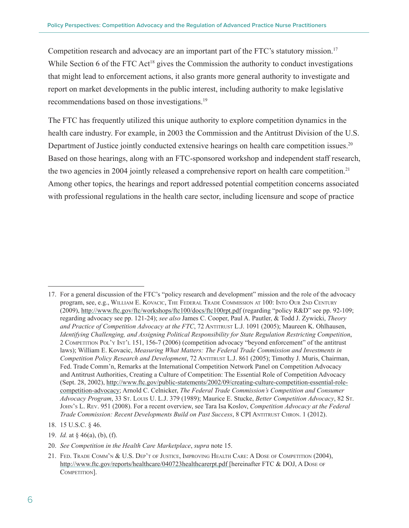Competition research and advocacy are an important part of the FTC's statutory mission.<sup>17</sup> While Section 6 of the FTC Act<sup>18</sup> gives the Commission the authority to conduct investigations that might lead to enforcement actions, it also grants more general authority to investigate and report on market developments in the public interest, including authority to make legislative recommendations based on those investigations.<sup>19</sup>

The FTC has frequently utilized this unique authority to explore competition dynamics in the health care industry. For example, in 2003 the Commission and the Antitrust Division of the U.S. Department of Justice jointly conducted extensive hearings on health care competition issues.<sup>20</sup> Based on those hearings, along with an FTC-sponsored workshop and independent staff research, the two agencies in 2004 jointly released a comprehensive report on health care competition.<sup>21</sup> Among other topics, the hearings and report addressed potential competition concerns associated with professional regulations in the health care sector, including licensure and scope of practice

- 19. *Id.* at § 46(a), (b), (f).
- 20. *See Competition in the Health Care Marketplace*, *supra* note 15.

<sup>17.</sup> For a general discussion of the FTC's "policy research and development" mission and the role of the advocacy program, see, e.g., William E. Kovacic, The Federal Trade Commission at 100: Into Our 2nd Century (2009), <http://www.ftc.gov/ftc/workshops/ftc100/docs/ftc100rpt.pdf> (regarding "policy R&D" see pp. 92-109; regarding advocacy see pp. 121-24); *see also* James C. Cooper, Paul A. Pautler, & Todd J. Zywicki, *Theory*  and Practice of Competition Advocacy at the FTC, 72 ANTITRUST L.J. 1091 (2005); Maureen K. Ohlhausen, *Identifying Challenging, and Assigning Political Responsibility for State Regulation Restricting Competition*, 2 Competition Pol'y Int'l 151, 156-7 (2006) (competition advocacy "beyond enforcement" of the antitrust laws); William E. Kovacic, *Measuring What Matters: The Federal Trade Commission and Investments in Competition Policy Research and Development*, 72 Antitrust L.J. 861 (2005); Timothy J. Muris, Chairman, Fed. Trade Comm'n, Remarks at the International Competition Network Panel on Competition Advocacy and Antitrust Authorities, Creating a Culture of Competition: The Essential Role of Competition Advocacy (Sept. 28, 2002), [http://www.ftc.gov/public-statements/2002/09/creating-culture-competition-essential-role](http://www.ftc.gov/public-statements/2002/09/creating-culture-competition-essential-role-competition-advocacy)[competition-advocacy;](http://www.ftc.gov/public-statements/2002/09/creating-culture-competition-essential-role-competition-advocacy) Arnold C. Celnicker, *The Federal Trade Commission's Competition and Consumer Advocacy Program*, 33 St. Louis U. L.J. 379 (1989); Maurice E. Stucke, *Better Competition Advocacy*, 82 St. John's L. Rev. 951 (2008). For a recent overview, see Tara Isa Koslov, *Competition Advocacy at the Federal Trade Commission: Recent Developments Build on Past Success*, 8 CPI Antitrust Chron. 1 (2012).

<sup>18.</sup> 15 U.S.C. § 46.

<sup>21.</sup> Fed. Trade Comm'n & U.S. Dep't of Justice, Improving Health Care: A Dose of Competition (2004), <http://www.ftc.gov/reports/healthcare/040723healthcarerpt.pdf> [hereinafter FTC & DOJ, A Dose of COMPETITION].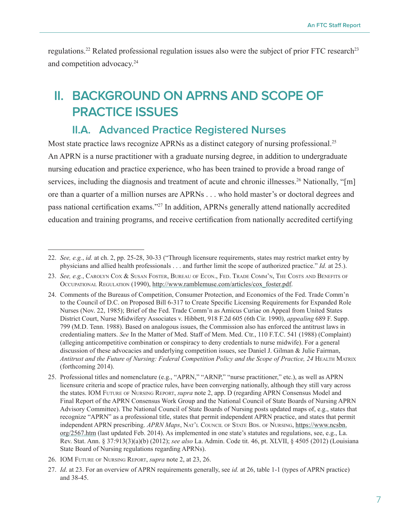<span id="page-10-0"></span>regulations.<sup>22</sup> Related professional regulation issues also were the subject of prior FTC research<sup>23</sup> and competition advocacy.<sup>24</sup>

## **II. BACKGROUND ON APRNS AND SCOPE OF PRACTICE ISSUES**

#### **II.A. Advanced Practice Registered Nurses**

Most state practice laws recognize APRNs as a distinct category of nursing professional.<sup>25</sup> An APRN is a nurse practitioner with a graduate nursing degree, in addition to undergraduate nursing education and practice experience, who has been trained to provide a broad range of services, including the diagnosis and treatment of acute and chronic illnesses.<sup>26</sup> Nationally, "[m] ore than a quarter of a million nurses are APRNs . . . who hold master's or doctoral degrees and pass national certification exams."27 In addition, APRNs generally attend nationally accredited education and training programs, and receive certification from nationally accredited certifying

<sup>22.</sup> *See, e.g.*, *id.* at ch. 2, pp. 25-28, 30-33 ("Through licensure requirements, states may restrict market entry by physicians and allied health professionals . . . and further limit the scope of authorized practice." *Id.* at 25.).

<sup>23.</sup> *See, e.g.*, Carolyn Cox & Susan Foster, Bureau of Econ., Fed. Trade Comm'n, The Costs and Benefits of OCCUPATIONAL REGULATION (1990), [http://www.ramblemuse.com/articles/cox\\_foster.pdf](http://www.ramblemuse.com/articles/cox_foster.pdf).

<sup>24.</sup> [Comments of the Bureaus of Competition, Consumer Protection, and Economics of the Fed. Trade Comm'n](file://\\apps\workprod\OPP\04120PP\OPPFiles\Advocacy\Policy%20Papers\APRN%20scope%20of%20practice\%20Comments%20of%20the%20Bureau%20s%20of%20Competition,%20Consumer%20Protection,%20and%20Economics%20of%20the%20Fed.%20Trade%20Comm)  [to the Council of D.C. on Proposed Bill 6-317 to Create Specific Licensing Requirements for Expanded Role](file://\\apps\workprod\OPP\04120PP\OPPFiles\Advocacy\Policy%20Papers\APRN%20scope%20of%20practice\%20Comments%20of%20the%20Bureau%20s%20of%20Competition,%20Consumer%20Protection,%20and%20Economics%20of%20the%20Fed.%20Trade%20Comm)  [Nurses](file://\\apps\workprod\OPP\04120PP\OPPFiles\Advocacy\Policy%20Papers\APRN%20scope%20of%20practice\%20Comments%20of%20the%20Bureau%20s%20of%20Competition,%20Consumer%20Protection,%20and%20Economics%20of%20the%20Fed.%20Trade%20Comm) (Nov. 22, 1985); Brief of the Fed. Trade Comm'n as Amicus Curiae on Appeal from United States District Court, Nurse Midwifery Associates v. Hibbett, 918 F.2d 605 (6th Cir. 1990), *appealing* 689 F. Supp. 799 (M.D. Tenn. 1988). Based on analogous issues, the Commission also has enforced the antitrust laws in credentialing matters. *See* In the Matter of Med. Staff of Mem. Med. Ctr., 110 F.T.C. 541 (1988) (Complaint) (alleging anticompetitive combination or conspiracy to deny credentials to nurse midwife). For a general discussion of these advocacies and underlying competition issues, see Daniel J. Gilman & Julie Fairman, Antitrust and the Future of Nursing: Federal Competition Policy and the Scope of Practice, 24 HEALTH MATRIX (forthcoming 2014).

<sup>25.</sup> Professional titles and nomenclature (e.g., "APRN," "ARNP," "nurse practitioner," etc.), as well as APRN licensure criteria and scope of practice rules, have been converging nationally, although they still vary across the states. IOM Future of Nursing Report, *supra* note 2, app. D (regarding APRN Consensus Model and Final Report of the APRN Consensus Work Group and the National Council of State Boards of Nursing APRN Advisory Committee). The National Council of State Boards of Nursing posts updated maps of, e.g., states that recognize "APRN" as a professional title, states that permit independent APRN practice, and states that permit independent APRN prescribing. *APRN Maps*, NAT'L COUNCIL OF STATE BDS. OF NURSING, [https://www.ncsbn.](https://www.ncsbn.org/2567.htm) [org/2567.htm](https://www.ncsbn.org/2567.htm) (last updated Feb. 2014). As implemented in one state's statutes and regulations, see, e.g., La. Rev. Stat. Ann. § 37:913(3)(a)(b) (2012); *see also* La. Admin. Code tit. 46, pt. XLVII, § 4505 (2012) (Louisiana State Board of Nursing regulations regarding APRNs).

<sup>26.</sup> IOM Future of Nursing Report, *supra* note 2, at 23, 26.

<sup>27.</sup> *Id*. at 23. For an overview of APRN requirements generally, see *id.* at 26, table 1-1 (types of APRN practice) and 38-45.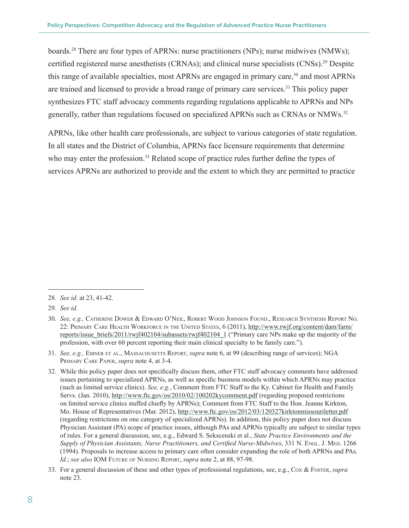boards.28 There are four types of APRNs: nurse practitioners (NPs); nurse midwives (NMWs); certified registered nurse anesthetists (CRNAs); and clinical nurse specialists (CNSs).29 Despite this range of available specialties, most APRNs are engaged in primary care,<sup>30</sup> and most APRNs are trained and licensed to provide a broad range of primary care services.<sup>31</sup> This policy paper synthesizes FTC staff advocacy comments regarding regulations applicable to APRNs and NPs generally, rather than regulations focused on specialized APRNs such as CRNAs or NMWs.<sup>32</sup>

APRNs, like other health care professionals, are subject to various categories of state regulation. In all states and the District of Columbia, APRNs face licensure requirements that determine who may enter the profession.<sup>33</sup> Related scope of practice rules further define the types of services APRNs are authorized to provide and the extent to which they are permitted to practice

31. *See, e.g.,* Eibner et al., Massachusetts Report, *supra* note 6, at 99 (describing range of services); NGA Primary Care Paper, *supra* note 4, at 3-4.

<sup>28.</sup> *See id.* at 23, 41-42.

<sup>29.</sup> *See id.*

<sup>30.</sup> *See, e.g.,* Catherine Dower & Edward O'Neil, Robert Wood Johnson Found., Research Synthesis Report No. 22: Primary Care Health Workforce in the United States, 6 (2011), [http://www.rwjf.org/content/dam/farm/](http://www.rwjf.org/content/dam/farm/reports/issue_briefs/2011/rwjf402104/subassets/rwjf402104_1) [reports/issue\\_briefs/2011/rwjf402104/subassets/rwjf402104\\_1](http://www.rwjf.org/content/dam/farm/reports/issue_briefs/2011/rwjf402104/subassets/rwjf402104_1) ("Primary care NPs make up the majority of the profession, with over 60 percent reporting their main clinical specialty to be family care.").

<sup>32.</sup> While this policy paper does not specifically discuss them, other FTC staff advocacy comments have addressed issues pertaining to specialized APRNs, as well as specific business models within which APRNs may practice (such as limited service clinics). *See, e.g.*, Comment from [FTC Staff to the Ky. Cabinet for Health and Family](file:///\\apps\workprod\OPP\04120PP\OPPFiles\Advocacy\Policy%20Papers\APRN%20scope%20of%20practice\FTC%20Staff%20to%20the%20Kentucky%20Cabinet%20for%20Health%20and%20Family%20Services%20Concerning%20Regarding%20Proposed%20Rule%20to%20Regulate%20Limited%20Service%20Clinics%20)  [Servs.](file:///\\apps\workprod\OPP\04120PP\OPPFiles\Advocacy\Policy%20Papers\APRN%20scope%20of%20practice\FTC%20Staff%20to%20the%20Kentucky%20Cabinet%20for%20Health%20and%20Family%20Services%20Concerning%20Regarding%20Proposed%20Rule%20to%20Regulate%20Limited%20Service%20Clinics%20) (Jan. 2010),<http://www.ftc.gov/os/2010/02/100202kycomment.pdf>(regarding proposed restrictions on limited service clinics staffed chiefly by APRNs); Comment from [FTC Staff to the Hon. Jeanne Kirkton,](http://www.ftc.gov/os/2012/03/120327kirktonmissouriletter.pdf)  [Mo. House of Representatives](http://www.ftc.gov/os/2012/03/120327kirktonmissouriletter.pdf) (Mar. 2012),<http://www.ftc.gov/os/2012/03/120327kirktonmissouriletter.pdf> (regarding restrictions on one category of specialized APRNs). In addition, this policy paper does not discuss Physician Assistant (PA) scope of practice issues, although PAs and APRNs typically are subject to similar types of rules. For a general discussion, see, e.g., Edward S. Sekscenski et al., *State Practice Environments and the Supply of Physician Assistants, Nurse Practitioners, and Certified Nurse-Midwives*, 331 N. Engl. J. Med. 1266 (1994). Proposals to increase access to primary care often consider expanding the role of both APRNs and PAs. *Id.*; *see also* IOM Future of Nursing Report, *supra* note 2, at 88, 97-98.

<sup>33.</sup> For a general discussion of these and other types of professional regulations, see, e.g., Cox & Foster, *supra* note 23.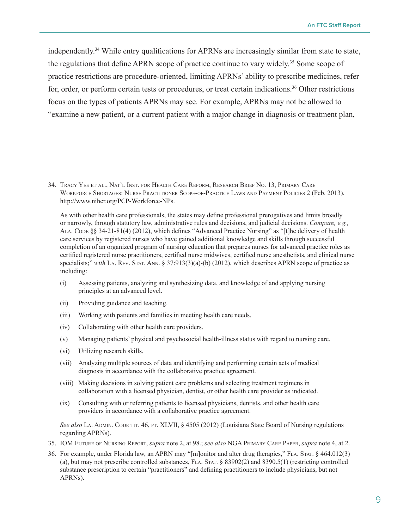independently.34 While entry qualifications for APRNs are increasingly similar from state to state, the regulations that define APRN scope of practice continue to vary widely.<sup>35</sup> Some scope of practice restrictions are procedure-oriented, limiting APRNs' ability to prescribe medicines, refer for, order, or perform certain tests or procedures, or treat certain indications.<sup>36</sup> Other restrictions focus on the types of patients APRNs may see. For example, APRNs may not be allowed to "examine a new patient, or a current patient with a major change in diagnosis or treatment plan,

- (i) Assessing patients, analyzing and synthesizing data, and knowledge of and applying nursing principles at an advanced level.
- (ii) Providing guidance and teaching.
- (iii) Working with patients and families in meeting health care needs.
- (iv) Collaborating with other health care providers.
- (v) Managing patients' physical and psychosocial health-illness status with regard to nursing care.
- (vi) Utilizing research skills.
- (vii) Analyzing multiple sources of data and identifying and performing certain acts of medical diagnosis in accordance with the collaborative practice agreement.
- (viii) Making decisions in solving patient care problems and selecting treatment regimens in collaboration with a licensed physician, dentist, or other health care provider as indicated.
- (ix) Consulting with or referring patients to licensed physicians, dentists, and other health care providers in accordance with a collaborative practice agreement.

See also La. ADMIN. CODE TIT. 46, PT. XLVII, § 4505 (2012) (Louisiana State Board of Nursing regulations regarding APRNs).

- 35. IOM Future of Nursing Report, *supra* note 2, at 98.; *see also* NGA Primary Care Paper, *supra* note 4, at 2.
- 36. For example, under Florida law, an APRN may "[m]onitor and alter drug therapies," Fla. Stat. § 464.012(3) (a), but may not prescribe controlled substances, FLA. STAT.  $\S$  83902(2) and 8390.5(1) (restricting controlled substance prescription to certain "practitioners" and defining practitioners to include physicians, but not APRNs).

<sup>34.</sup> Tracy Yee et al., Nat'l Inst. for Health Care Reform, Research Brief No. 13, Primary Care Workforce Shortages: Nurse Practitioner Scope-of-Practice Laws and Payment Policies 2 (Feb. 2013), <http://www.nihcr.org/PCP-Workforce-NPs>.

As with other health care professionals, the states may define professional prerogatives and limits broadly or narrowly, through statutory law, administrative rules and decisions, and judicial decisions. *Compare, e.g.,*  Ala. Code §§ 34-21-81(4) (2012), which defines "Advanced Practice Nursing" as "[t]he delivery of health care services by registered nurses who have gained additional knowledge and skills through successful completion of an organized program of nursing education that prepares nurses for advanced practice roles as certified registered nurse practitioners, certified nurse midwives, certified nurse anesthetists, and clinical nurse specialists;" with La. Rev. Stat. Ann. § 37:913(3)(a)-(b) (2012), which describes APRN scope of practice as including: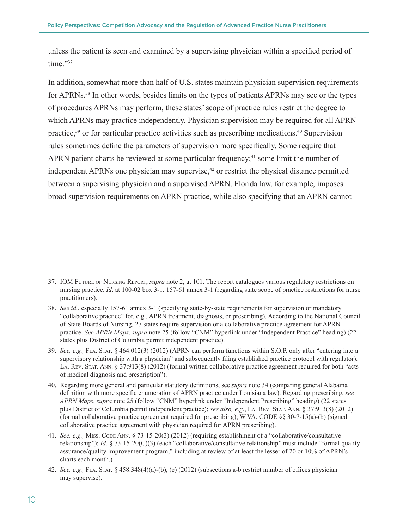unless the patient is seen and examined by a supervising physician within a specified period of time."37

In addition, somewhat more than half of U.S. states maintain physician supervision requirements for APRNs.38 In other words, besides limits on the types of patients APRNs may see or the types of procedures APRNs may perform, these states' scope of practice rules restrict the degree to which APRNs may practice independently. Physician supervision may be required for all APRN practice,<sup>39</sup> or for particular practice activities such as prescribing medications.<sup>40</sup> Supervision rules sometimes define the parameters of supervision more specifically. Some require that APRN patient charts be reviewed at some particular frequency;<sup>41</sup> some limit the number of independent APRNs one physician may supervise,<sup>42</sup> or restrict the physical distance permitted between a supervising physician and a supervised APRN. Florida law, for example, imposes broad supervision requirements on APRN practice, while also specifying that an APRN cannot

<sup>37.</sup> IOM Future of Nursing Report, *supra* note 2, at 101. The report catalogues various regulatory restrictions on nursing practice. *Id*. at 100-02 box 3-1, 157-61 annex 3-1 (regarding state scope of practice restrictions for nurse practitioners).

<sup>38.</sup> *See id.*, especially 157-61 annex 3-1 (specifying state-by-state requirements for supervision or mandatory "collaborative practice" for, e.g., APRN treatment, diagnosis, or prescribing). According to the National Council of State Boards of Nursing, 27 states require supervision or a collaborative practice agreement for APRN practice. *See APRN Maps*, *supra* note 25 (follow "CNM" hyperlink under "Independent Practice" heading) (22 states plus District of Columbia permit independent practice).

<sup>39.</sup> *See, e.g.,* [Fla. Stat.](http://www.lexis.com/research/xlink?app=00075&view=full&searchtype=get&search=Fla.+Stat.+%A7+464.012) § 464.012(3) (2012) (APRN can perform functions within S.O.P. only after "entering into a supervisory relationship with a physician" and subsequently filing established practice protocol with regulator). LA. REV. STAT. ANN. § 37:913(8) (2012) (formal written collaborative practice agreement required for both "acts of medical diagnosis and prescription").

<sup>40.</sup> Regarding more general and particular statutory definitions, see *supra* note 34 (comparing general Alabama definition with more specific enumeration of APRN practice under Louisiana law). Regarding prescribing, *see APRN Maps*, *supra* note 25 (follow "CNM" hyperlink under "Independent Prescribing" heading) (22 states plus District of Columbia permit independent practice); *see also, e.g.*, La. Rev. Stat. Ann. § 37:913(8) (2012) (formal collaborative practice agreement required for prescribing); W.VA. CODE §§ 30-7-15(a)-(b) (signed collaborative practice agreement with physician required for APRN prescribing).

<sup>41.</sup> *See, e.g., [Miss. Code](http://www.lexis.com/research/xlink?app=00075&view=full&searchtype=get&search=Miss.+Code+Ann.+%A7+73-15-20) Ann.* § 73-15-20(3) (2012) (requiring establishment of a "collaborative/consultative relationship"); *Id.* [§ 73-15-20\(](http://www.lexis.com/research/xlink?app=00075&view=full&searchtype=get&search=Miss.+Code+Ann.+%A7+73-15-20)C)(3) (each "collaborative/consultative relationship" must include "formal quality assurance/quality improvement program," including at review of at least the lesser of 20 or 10% of APRN's charts each month.)

<sup>42.</sup> *See, e.g.*, FLA. STAT. § 458.348(4)(a)-(b), (c) (2012) (subsections a-b restrict number of offices physician may supervise).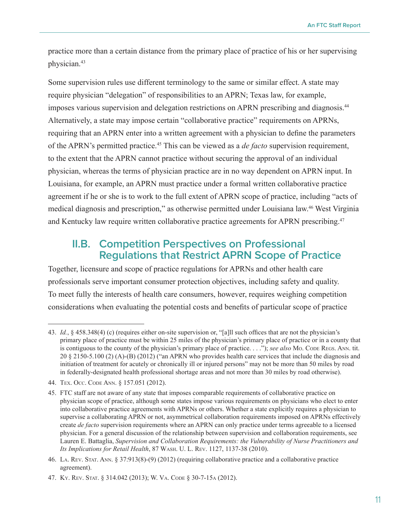<span id="page-14-0"></span>practice more than a certain distance from the primary place of practice of his or her supervising physician.<sup>43</sup>

Some supervision rules use different terminology to the same or similar effect. A state may require physician "delegation" of responsibilities to an APRN; Texas law, for example, imposes various supervision and delegation restrictions on APRN prescribing and diagnosis.<sup>44</sup> Alternatively, a state may impose certain "collaborative practice" requirements on APRNs, requiring that an APRN enter into a written agreement with a physician to define the parameters of the APRN's permitted practice.45 This can be viewed as a *de facto* supervision requirement, to the extent that the APRN cannot practice without securing the approval of an individual physician, whereas the terms of physician practice are in no way dependent on APRN input. In Louisiana, for example, an APRN must practice under a formal written collaborative practice agreement if he or she is to work to the full extent of APRN scope of practice, including "acts of medical diagnosis and prescription," as otherwise permitted under Louisiana law. <sup>46</sup> West Virginia and Kentucky law require written collaborative practice agreements for APRN prescribing.<sup>47</sup>

#### **II.B. Competition Perspectives on Professional Regulations that Restrict APRN Scope of Practice**

Together, licensure and scope of practice regulations for APRNs and other health care professionals serve important consumer protection objectives, including safety and quality. To meet fully the interests of health care consumers, however, requires weighing competition considerations when evaluating the potential costs and benefits of particular scope of practice

<sup>43.</sup> *Id.*, § 458.348(4) (c) (requires either on-site supervision or, "[a]ll such offices that are not the physician's primary place of practice must be within 25 miles of the physician's primary place of practice or in a county that is contiguous to the county of the physician's primary place of practice. . . ."); *see also* Mo. Code Regs. Ann. tit. 20 § 2150-5.100 (2) (A)-(B) (2012) ("an APRN who provides health care services that include the diagnosis and initiation of treatment for acutely or chronically ill or injured persons" may not be more than 50 miles by road in federally-designated health professional shortage areas and not more than 30 miles by road otherwise).

<sup>44.</sup> Tex. Occ. Code Ann. § 157.051 (2012).

<sup>45.</sup> FTC staff are not aware of any state that imposes comparable requirements of collaborative practice on physician scope of practice, although some states impose various requirements on physicians who elect to enter into collaborative practice agreements with APRNs or others. Whether a state explicitly requires a physician to supervise a collaborating APRN or not, asymmetrical collaboration requirements imposed on APRNs effectively create *de facto* supervision requirements where an APRN can only practice under terms agreeable to a licensed physician. For a general discussion of the relationship between supervision and collaboration requirements, see Lauren E. Battaglia, *Supervision and Collaboration Requirements: the Vulnerability of Nurse Practitioners and Its Implications for Retail Health*, 87 Wash. U. L. Rev. 1127, 1137-38 (2010).

<sup>46.</sup> La. Rev. Stat. Ann. § 37:913(8)-(9) (2012) (requiring collaborative practice and a collaborative practice agreement).

<sup>47.</sup> Ky. Rev. Stat. § 314.042 (2013); W. Va. Code § 30-7-15a (2012).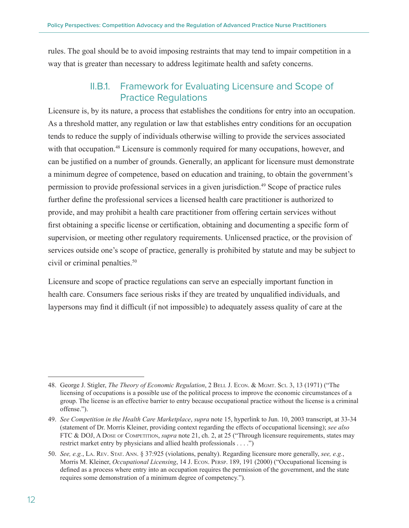<span id="page-15-0"></span>rules. The goal should be to avoid imposing restraints that may tend to impair competition in a way that is greater than necessary to address legitimate health and safety concerns.

#### II.B.1. Framework for Evaluating Licensure and Scope of Practice Regulations

Licensure is, by its nature, a process that establishes the conditions for entry into an occupation. As a threshold matter, any regulation or law that establishes entry conditions for an occupation tends to reduce the supply of individuals otherwise willing to provide the services associated with that occupation.<sup>48</sup> Licensure is commonly required for many occupations, however, and can be justified on a number of grounds. Generally, an applicant for licensure must demonstrate a minimum degree of competence, based on education and training, to obtain the government's permission to provide professional services in a given jurisdiction.<sup>49</sup> Scope of practice rules further define the professional services a licensed health care practitioner is authorized to provide, and may prohibit a health care practitioner from offering certain services without first obtaining a specific license or certification, obtaining and documenting a specific form of supervision, or meeting other regulatory requirements. Unlicensed practice, or the provision of services outside one's scope of practice, generally is prohibited by statute and may be subject to civil or criminal penalties.<sup>50</sup>

Licensure and scope of practice regulations can serve an especially important function in health care. Consumers face serious risks if they are treated by unqualified individuals, and laypersons may find it difficult (if not impossible) to adequately assess quality of care at the

<sup>48.</sup> George J. Stigler, *The Theory of Economic Regulation*, 2 Bell J. Econ. & Mgmt. Sci. 3, 13 (1971) ("The licensing of occupations is a possible use of the political process to improve the economic circumstances of a group. The license is an effective barrier to entry because occupational practice without the license is a criminal offense.").

<sup>49.</sup> *See Competition in the Health Care Marketplace*, *supra* note 15, hyperlink to Jun. 10, 2003 transcript, at 33-34 (statement of Dr. Morris Kleiner, providing context regarding the effects of occupational licensing); *see also* FTC & DOJ, A Dose of Competition, *supra* note 21, ch. 2, at 25 ("Through licensure requirements, states may restrict market entry by physicians and allied health professionals . . . .")

<sup>50.</sup> *See, e.g.*, La. Rev. Stat. Ann. § 37:925 (violations, penalty). Regarding licensure more generally, *see, e.g.*, Morris M. Kleiner, *Occupational Licensing*, 14 J. Econ. Persp. 189, 191 (2000) ("Occupational licensing is defined as a process where entry into an occupation requires the permission of the government, and the state requires some demonstration of a minimum degree of competency.")*.*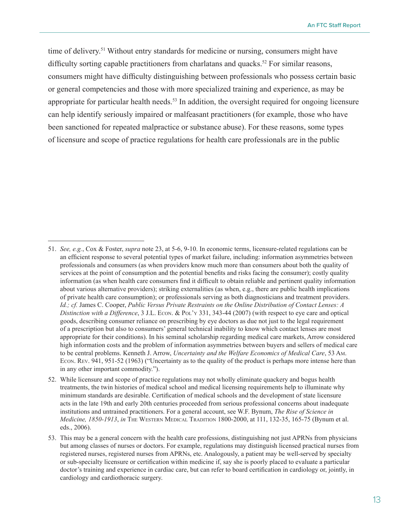time of delivery.<sup>51</sup> Without entry standards for medicine or nursing, consumers might have difficulty sorting capable practitioners from charlatans and quacks.<sup>52</sup> For similar reasons, consumers might have difficulty distinguishing between professionals who possess certain basic or general competencies and those with more specialized training and experience, as may be appropriate for particular health needs.<sup>53</sup> In addition, the oversight required for ongoing licensure can help identify seriously impaired or malfeasant practitioners (for example, those who have been sanctioned for repeated malpractice or substance abuse). For these reasons, some types of licensure and scope of practice regulations for health care professionals are in the public

<sup>51.</sup> *See, e.g.*, Cox & Foster, *supra* note 23, at 5-6, 9-10. In economic terms, licensure-related regulations can be an efficient response to several potential types of market failure, including: information asymmetries between professionals and consumers (as when providers know much more than consumers about both the quality of services at the point of consumption and the potential benefits and risks facing the consumer); costly quality information (as when health care consumers find it difficult to obtain reliable and pertinent quality information about various alternative providers); striking externalities (as when, e.g., there are public health implications of private health care consumption); or professionals serving as both diagnosticians and treatment providers. *Id.; cf.* James C. Cooper, *Public Versus Private Restraints on the Online Distribution of Contact Lenses: A Distinction with a Difference*, 3 J.L. Econ. & Pol'y 331, 343-44 (2007) (with respect to eye care and optical goods, describing consumer reliance on prescribing by eye doctors as due not just to the legal requirement of a prescription but also to consumers' general technical inability to know which contact lenses are most appropriate for their conditions). In his seminal scholarship regarding medical care markets, Arrow considered high information costs and the problem of information asymmetries between buyers and sellers of medical care to be central problems. Kenneth J. Arrow, *Uncertainty and the Welfare Economics of Medical Care*, 53 Am. Econ. Rev. 941, 951-52 (1963) ("Uncertainty as to the quality of the product is perhaps more intense here than in any other important commodity.").

<sup>52.</sup> While licensure and scope of practice regulations may not wholly eliminate quackery and bogus health treatments, the twin histories of medical school and medical licensing requirements help to illuminate why minimum standards are desirable. Certification of medical schools and the development of state licensure acts in the late 19th and early 20th centuries proceeded from serious professional concerns about inadequate institutions and untrained practitioners. For a general account, see W.F. Bynum, *The Rise of Science in Medicine, 1850-1913*, *in* The Western Medical Tradition 1800-2000, at 111, 132-35, 165-75 (Bynum et al. eds., 2006).

<sup>53.</sup> This may be a general concern with the health care professions, distinguishing not just APRNs from physicians but among classes of nurses or doctors. For example, regulations may distinguish licensed practical nurses from registered nurses, registered nurses from APRNs, etc. Analogously, a patient may be well-served by specialty or sub-specialty licensure or certification within medicine if, say she is poorly placed to evaluate a particular doctor's training and experience in cardiac care, but can refer to board certification in cardiology or, jointly, in cardiology and cardiothoracic surgery.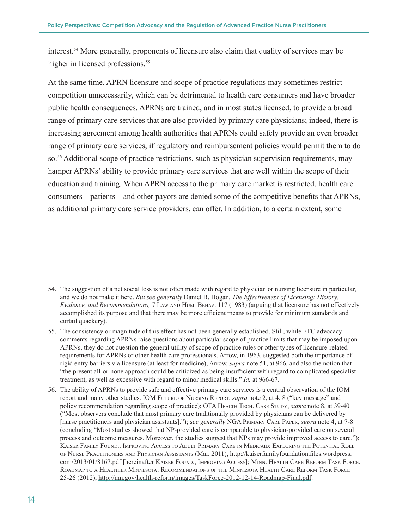interest.54 More generally, proponents of licensure also claim that quality of services may be higher in licensed professions.<sup>55</sup>

At the same time, APRN licensure and scope of practice regulations may sometimes restrict competition unnecessarily, which can be detrimental to health care consumers and have broader public health consequences. APRNs are trained, and in most states licensed, to provide a broad range of primary care services that are also provided by primary care physicians; indeed, there is increasing agreement among health authorities that APRNs could safely provide an even broader range of primary care services, if regulatory and reimbursement policies would permit them to do so.<sup>56</sup> Additional scope of practice restrictions, such as physician supervision requirements, may hamper APRNs' ability to provide primary care services that are well within the scope of their education and training. When APRN access to the primary care market is restricted, health care consumers – patients – and other payors are denied some of the competitive benefits that APRNs, as additional primary care service providers, can offer. In addition, to a certain extent, some

<sup>54.</sup> The suggestion of a net social loss is not often made with regard to physician or nursing licensure in particular, and we do not make it here. *But see generally* Daniel B. Hogan, *The Effectiveness of Licensing: History, Evidence, and Recommendations,* 7 Law and Hum. Behav. 117 (1983) (arguing that licensure has not effectively accomplished its purpose and that there may be more efficient means to provide for minimum standards and curtail quackery).

<sup>55.</sup> The consistency or magnitude of this effect has not been generally established. Still, while FTC advocacy comments regarding APRNs raise questions about particular scope of practice limits that may be imposed upon APRNs, they do not question the general utility of scope of practice rules or other types of licensure-related requirements for APRNs or other health care professionals. Arrow, in 1963, suggested both the importance of rigid entry barriers via licensure (at least for medicine), Arrow, *supra* note 51, at 966, and also the notion that "the present all-or-none approach could be criticized as being insufficient with regard to complicated specialist treatment, as well as excessive with regard to minor medical skills." *Id.* at 966-67.

<sup>56.</sup> The ability of APRNs to provide safe and effective primary care services is a central observation of the IOM report and many other studies. IOM Future of Nursing Report, *supra* note 2, at 4, 8 ("key message" and policy recommendation regarding scope of practice); OTA HEALTH TECH. CASE STUDY, *supra* note 8, at 39-40 ("Most observers conclude that most primary care traditionally provided by physicians can be delivered by [nurse practitioners and physician assistants]."); s*ee generally* NGA Primary Care Paper, *supra* note 4, at 7-8 (concluding "Most studies showed that NP-provided care is comparable to physician-provided care on several process and outcome measures. Moreover, the studies suggest that NPs may provide improved access to care."); Kaiser Family Found., Improving Access to Adult Primary Care in Medicaid: Exploring the Potential Role of Nurse Practitioners and Physician Assistants (Mar. 2011), [http://kaiserfamilyfoundation.files.wordpress.](http://kaiserfamilyfoundation.files.wordpress.com/2013/01/8167.pdf) [com/2013/01/8167.pdf](http://kaiserfamilyfoundation.files.wordpress.com/2013/01/8167.pdf) [hereinafter Kaiser Found., Improving Access]; Minn. Health Care Reform Task Force, Roadmap to <sup>a</sup> Healthier Minnesota: Recommendations of the Minnesota Health Care Reform Task Force 25-26 (2012),<http://mn.gov/health-reform/images/TaskForce-2012-12-14-Roadmap-Final.pdf>.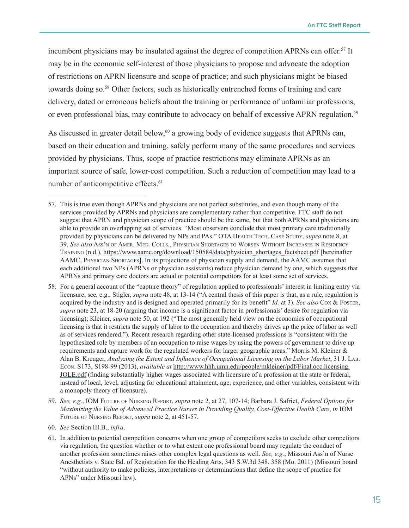incumbent physicians may be insulated against the degree of competition APRNs can offer.<sup>57</sup> It may be in the economic self-interest of those physicians to propose and advocate the adoption of restrictions on APRN licensure and scope of practice; and such physicians might be biased towards doing so.<sup>58</sup> Other factors, such as historically entrenched forms of training and care delivery, dated or erroneous beliefs about the training or performance of unfamiliar professions, or even professional bias, may contribute to advocacy on behalf of excessive APRN regulation.<sup>59</sup>

As discussed in greater detail below,<sup>60</sup> a growing body of evidence suggests that APRNs can, based on their education and training, safely perform many of the same procedures and services provided by physicians. Thus, scope of practice restrictions may eliminate APRNs as an important source of safe, lower-cost competition. Such a reduction of competition may lead to a number of anticompetitive effects.<sup>61</sup>

- 59. *See, e.g.*, IOM Future of Nursing Report, *supra* note 2, at 27, 107-14; Barbara J. Safriet, *Federal Options for Maximizing the Value of Advanced Practice Nurses in Providing Quality, Cost-Effective Health Care*, *in* IOM Future of Nursing Report, *supra* note 2, at 451-57.
- 60. *See* Section III.B., *infra*.
- 61. In addition to potential competition concerns when one group of competitors seeks to exclude other competitors via regulation, the question whether or to what extent one professional board may regulate the conduct of another profession sometimes raises other complex legal questions as well. *See, e.g.*, Missouri Ass'n of Nurse Anesthetists v. State Bd. of Registration for the Healing Arts, 343 S.W.3d 348, 358 (Mo. 2011) (Missouri board "without authority to make policies, interpretations or determinations that define the scope of practice for APNs" under Missouri law).

<sup>57.</sup> This is true even though APRNs and physicians are not perfect substitutes, and even though many of the services provided by APRNs and physicians are complementary rather than competitive. FTC staff do not suggest that APRN and physician scope of practice should be the same, but that both APRNs and physicians are able to provide an overlapping set of services. "Most observers conclude that most primary care traditionally provided by physicians can be delivered by NPs and PAs." OTA HEALTH TECH. CASE STUDY, *supra* note 8, at 39. *See also* Ass'n of Amer. Med. Colls., Physician Shortages to Worsen Without Increases in Residency TRAINING (n.d.), [https://www.aamc.org/download/150584/data/physician\\_shortages\\_factsheet.pdf](https://www.aamc.org/download/150584/data/physician_shortages_factsheet.pdf) [hereinafter AAMC, Physician Shortages]. In its projections of physician supply and demand, the AAMC assumes that each additional two NPs (APRNs or physician assistants) reduce physician demand by one, which suggests that APRNs and primary care doctors are actual or potential competitors for at least some set of services.

<sup>58.</sup> For a general account of the "capture theory" of regulation applied to professionals' interest in limiting entry via licensure, see, e.g., Stigler, *supra* note 48, at 13-14 ("A central thesis of this paper is that, as a rule, regulation is acquired by the industry and is designed and operated primarily for its benefit" *Id.* at 3). *See also* Cox & Foster, *supra* note 23, at 18-20 (arguing that income is a significant factor in professionals' desire for regulation via licensing); Kleiner, *supra* note 50, at 192 ("The most generally held view on the economics of occupational licensing is that it restricts the supply of labor to the occupation and thereby drives up the price of labor as well as of services rendered."). Recent research regarding other state-licensed professions is "consistent with the hypothesized role by members of an occupation to raise wages by using the powers of government to drive up requirements and capture work for the regulated workers for larger geographic areas." Morris M. Kleiner  $\&$ Alan B. Kreuger, *Analyzing the Extent and Influence of Occupational Licensing on the Labor Market*, 31 J. Lab. Econ. S173, S198-99 (2013), *available at* [http://www.hhh.umn.edu/people/mkleiner/pdf/Final.occ.licensing.](http://www.hhh.umn.edu/people/mkleiner/pdf/Final.occ.licensing.JOLE.pdf) [JOLE.pdf](http://www.hhh.umn.edu/people/mkleiner/pdf/Final.occ.licensing.JOLE.pdf) (finding substantially higher wages associated with licensure of a profession at the state or federal, instead of local, level, adjusting for educational attainment, age, experience, and other variables, consistent with a monopoly theory of licensure).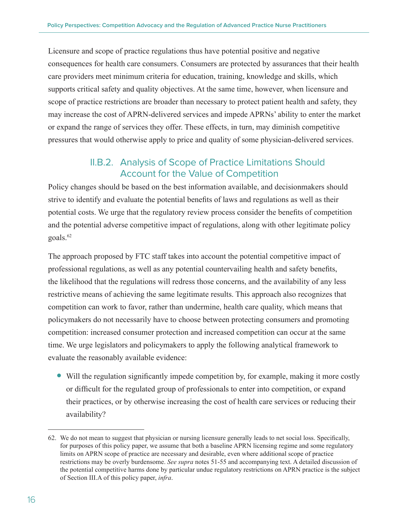<span id="page-19-0"></span>Licensure and scope of practice regulations thus have potential positive and negative consequences for health care consumers. Consumers are protected by assurances that their health care providers meet minimum criteria for education, training, knowledge and skills, which supports critical safety and quality objectives. At the same time, however, when licensure and scope of practice restrictions are broader than necessary to protect patient health and safety, they may increase the cost of APRN-delivered services and impede APRNs' ability to enter the market or expand the range of services they offer. These effects, in turn, may diminish competitive pressures that would otherwise apply to price and quality of some physician-delivered services.

#### II.B.2. Analysis of Scope of Practice Limitations Should Account for the Value of Competition

Policy changes should be based on the best information available, and decisionmakers should strive to identify and evaluate the potential benefits of laws and regulations as well as their potential costs. We urge that the regulatory review process consider the benefits of competition and the potential adverse competitive impact of regulations, along with other legitimate policy goals.<sup>62</sup>

The approach proposed by FTC staff takes into account the potential competitive impact of professional regulations, as well as any potential countervailing health and safety benefits, the likelihood that the regulations will redress those concerns, and the availability of any less restrictive means of achieving the same legitimate results. This approach also recognizes that competition can work to favor, rather than undermine, health care quality, which means that policymakers do not necessarily have to choose between protecting consumers and promoting competition: increased consumer protection and increased competition can occur at the same time. We urge legislators and policymakers to apply the following analytical framework to evaluate the reasonably available evidence:

<sup>O</sup> Will the regulation significantly impede competition by, for example, making it more costly or difficult for the regulated group of professionals to enter into competition, or expand their practices, or by otherwise increasing the cost of health care services or reducing their availability?

<sup>62.</sup> We do not mean to suggest that physician or nursing licensure generally leads to net social loss. Specifically, for purposes of this policy paper, we assume that both a baseline APRN licensing regime and some regulatory limits on APRN scope of practice are necessary and desirable, even where additional scope of practice restrictions may be overly burdensome. *See supra* notes 51-55 and accompanying text. A detailed discussion of the potential competitive harms done by particular undue regulatory restrictions on APRN practice is the subject of Section III.A of this policy paper, *infra*.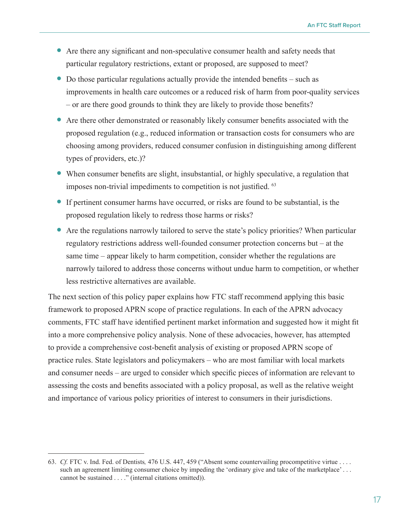- <sup>O</sup> Are there any significant and non-speculative consumer health and safety needs that particular regulatory restrictions, extant or proposed, are supposed to meet?
- $\bullet$  Do those particular regulations actually provide the intended benefits such as improvements in health care outcomes or a reduced risk of harm from poor-quality services – or are there good grounds to think they are likely to provide those benefits?
- <sup>O</sup> Are there other demonstrated or reasonably likely consumer benefits associated with the proposed regulation (e.g., reduced information or transaction costs for consumers who are choosing among providers, reduced consumer confusion in distinguishing among different types of providers, etc.)?
- <sup>O</sup> When consumer benefits are slight, insubstantial, or highly speculative, a regulation that imposes non-trivial impediments to competition is not justified. 63
- <sup>O</sup> If pertinent consumer harms have occurred, or risks are found to be substantial, is the proposed regulation likely to redress those harms or risks?
- <sup>O</sup> Are the regulations narrowly tailored to serve the state's policy priorities? When particular regulatory restrictions address well-founded consumer protection concerns but – at the same time – appear likely to harm competition, consider whether the regulations are narrowly tailored to address those concerns without undue harm to competition, or whether less restrictive alternatives are available.

The next section of this policy paper explains how FTC staff recommend applying this basic framework to proposed APRN scope of practice regulations. In each of the APRN advocacy comments, FTC staff have identified pertinent market information and suggested how it might fit into a more comprehensive policy analysis. None of these advocacies, however, has attempted to provide a comprehensive cost-benefit analysis of existing or proposed APRN scope of practice rules. State legislators and policymakers – who are most familiar with local markets and consumer needs – are urged to consider which specific pieces of information are relevant to assessing the costs and benefits associated with a policy proposal, as well as the relative weight and importance of various policy priorities of interest to consumers in their jurisdictions.

<sup>63.</sup> *Cf.* FTC v. Ind. Fed. of Dentists*,* 476 U.S. 447, 459 ("Absent some countervailing procompetitive virtue . . . . such an agreement limiting consumer choice by impeding the 'ordinary give and take of the marketplace'... cannot be sustained . . . ." (internal citations omitted)).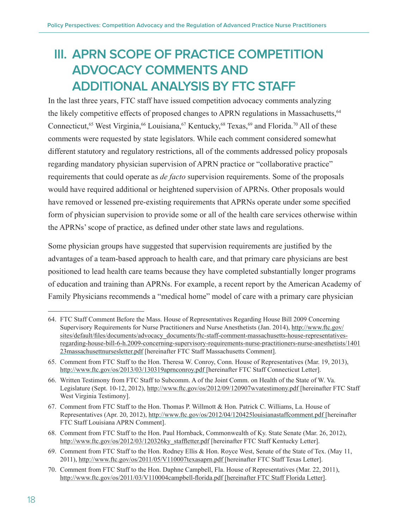## <span id="page-21-0"></span>**III. APRN SCOPE OF PRACTICE COMPETITION ADVOCACY COMMENTS AND ADDITIONAL ANALYSIS BY FTC STAFF**

In the last three years, FTC staff have issued competition advocacy comments analyzing the likely competitive effects of proposed changes to APRN regulations in Massachusetts,<sup>64</sup> Connecticut,<sup>65</sup> West Virginia,<sup>66</sup> Louisiana,<sup>67</sup> Kentucky,<sup>68</sup> Texas,<sup>69</sup> and Florida.<sup>70</sup> All of these comments were requested by state legislators. While each comment considered somewhat different statutory and regulatory restrictions, all of the comments addressed policy proposals regarding mandatory physician supervision of APRN practice or "collaborative practice" requirements that could operate as *de facto* supervision requirements. Some of the proposals would have required additional or heightened supervision of APRNs. Other proposals would have removed or lessened pre-existing requirements that APRNs operate under some specified form of physician supervision to provide some or all of the health care services otherwise within the APRNs' scope of practice, as defined under other state laws and regulations.

Some physician groups have suggested that supervision requirements are justified by the advantages of a team-based approach to health care, and that primary care physicians are best positioned to lead health care teams because they have completed substantially longer programs of education and training than APRNs. For example, a recent report by the American Academy of Family Physicians recommends a "medical home" model of care with a primary care physician

<sup>64.</sup> [FTC Staff Comment Before the Mass. House of Representatives Regarding House Bill 2009 Concerning](file://\\apps\workprod\OPP\04120PP\OPPFiles\Advocacy\Policy%20Papers\APRN%20scope%20of%20practice\FTC%20Staff%20Comment%20Before%20the%20Massachusetts%20House%20of%20Representatives%20Regarding%20House%20Bill%202009%20Concerning%20Supervisory%20Requirements%20for%20Nurse%20Practitioners%20and%20Nurse%20Anesthetists%20(Jan.%202014))  [Supervisory Requirements for Nurse Practitioners and Nurse Anesthetists \(Jan. 2014\)](file://\\apps\workprod\OPP\04120PP\OPPFiles\Advocacy\Policy%20Papers\APRN%20scope%20of%20practice\FTC%20Staff%20Comment%20Before%20the%20Massachusetts%20House%20of%20Representatives%20Regarding%20House%20Bill%202009%20Concerning%20Supervisory%20Requirements%20for%20Nurse%20Practitioners%20and%20Nurse%20Anesthetists%20(Jan.%202014)), [http://www.ftc.gov/](http://www.ftc.gov/sites/default/files/documents/advocacy_documents/ftc-staff-comment-massachusetts-house-representatives-regarding-house-bill-6-h.2009-concerning-supervisory-requirements-nurse-practitioners-nurse-anesthetists/140123massachusettnursesletter.pdf) [sites/default/files/documents/advocacy\\_documents/ftc-staff-comment-massachusetts-house-representatives](http://www.ftc.gov/sites/default/files/documents/advocacy_documents/ftc-staff-comment-massachusetts-house-representatives-regarding-house-bill-6-h.2009-concerning-supervisory-requirements-nurse-practitioners-nurse-anesthetists/140123massachusettnursesletter.pdf)[regarding-house-bill-6-h.2009-concerning-supervisory-requirements-nurse-practitioners-nurse-anesthetists/1401](http://www.ftc.gov/sites/default/files/documents/advocacy_documents/ftc-staff-comment-massachusetts-house-representatives-regarding-house-bill-6-h.2009-concerning-supervisory-requirements-nurse-practitioners-nurse-anesthetists/140123massachusettnursesletter.pdf) [23massachusettnursesletter.pdf](http://www.ftc.gov/sites/default/files/documents/advocacy_documents/ftc-staff-comment-massachusetts-house-representatives-regarding-house-bill-6-h.2009-concerning-supervisory-requirements-nurse-practitioners-nurse-anesthetists/140123massachusettnursesletter.pdf) [hereinafter FTC Staff Massachusetts Comment].

<sup>65.</sup> Comment from [FTC Staff to the Hon. Theresa W. Conroy, Conn. House of Representatives](http://www.ftc.gov/os/2013/03/130319aprnconroy.pdf) (Mar. 19, 2013), <http://www.ftc.gov/os/2013/03/130319aprnconroy.pdf> [hereinafter FTC Staff Connecticut Letter].

<sup>66.</sup> Written Testimony from [FTC Staff to Subcomm. A of the Joint Comm. on Health of the State of W. Va.](http://www.ftc.gov/os/2012/09/120907wvatestimony.pdf)  [Legislature](http://www.ftc.gov/os/2012/09/120907wvatestimony.pdf) (Sept. 10-12, 2012),<http://www.ftc.gov/os/2012/09/120907wvatestimony.pdf> [hereinafter FTC Staff West Virginia Testimony].

<sup>67.</sup> [Comment from FTC Staff to the Hon. Thomas P. Willmott & Hon. Patrick C. Williams, La. House of](file:///\\apps\workprod\OPP\04120PP\OPPFiles\Advocacy\Policy%20Papers\APRN%20scope%20of%20practice\Comment%20from%20FTC%20Staff%20to%20the%20Hon.%20Thomas%20P.%20Willmott%20&%20Hon.%20Patrick%20C.%20Williams,%20La.%20House%20of%20Representatives)  [Representatives](file:///\\apps\workprod\OPP\04120PP\OPPFiles\Advocacy\Policy%20Papers\APRN%20scope%20of%20practice\Comment%20from%20FTC%20Staff%20to%20the%20Hon.%20Thomas%20P.%20Willmott%20&%20Hon.%20Patrick%20C.%20Williams,%20La.%20House%20of%20Representatives) (Apr. 20, 2012),<http://www.ftc.gov/os/2012/04/120425louisianastaffcomment.pdf> [hereinafter FTC Staff Louisiana APRN Comment].

<sup>68.</sup> Comment from [FTC Staff to the Hon. Paul Hornback, Commonwealth of Ky. State Senate](http://www.ftc.gov/os/2012/03/120326ky_staffletter.pdf) (Mar. 26, 2012), [http://www.ftc.gov/os/2012/03/120326ky\\_staffletter.pdf](http://www.ftc.gov/os/2012/03/120326ky_staffletter.pdf) [hereinafter FTC Staff Kentucky Letter].

<sup>69.</sup> Comment from [FTC Staff to the Hon. Rodney Ellis & Hon. Royce West, Senate of the State of Tex.](http://www.ftc.gov/os/2011/05/V110007texasaprn.pdf) (May 11, 2011), <http://www.ftc.gov/os/2011/05/V110007texasaprn.pdf> [hereinafter FTC Staff Texas Letter].

<sup>70.</sup> Comment from [FTC Staff to the Hon. Daphne Campbell, Fla. House of Representatives](http://www.ftc.gov/os/2011/03/V110004campbell-florida.pdf) (Mar. 22, 2011), <http://www.ftc.gov/os/2011/03/V110004campbell-florida.pdf>[hereinafter FTC Staff Florida Letter].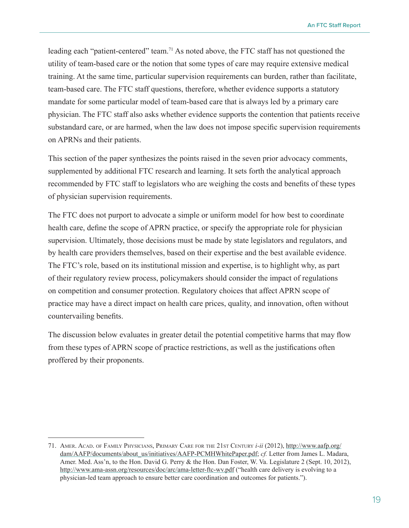**An FTC Staff Report**

leading each "patient-centered" team.71 As noted above, the FTC staff has not questioned the utility of team-based care or the notion that some types of care may require extensive medical training. At the same time, particular supervision requirements can burden, rather than facilitate, team-based care. The FTC staff questions, therefore, whether evidence supports a statutory mandate for some particular model of team-based care that is always led by a primary care physician. The FTC staff also asks whether evidence supports the contention that patients receive substandard care, or are harmed, when the law does not impose specific supervision requirements on APRNs and their patients.

This section of the paper synthesizes the points raised in the seven prior advocacy comments, supplemented by additional FTC research and learning. It sets forth the analytical approach recommended by FTC staff to legislators who are weighing the costs and benefits of these types of physician supervision requirements.

The FTC does not purport to advocate a simple or uniform model for how best to coordinate health care, define the scope of APRN practice, or specify the appropriate role for physician supervision. Ultimately, those decisions must be made by state legislators and regulators, and by health care providers themselves, based on their expertise and the best available evidence. The FTC's role, based on its institutional mission and expertise, is to highlight why, as part of their regulatory review process, policymakers should consider the impact of regulations on competition and consumer protection. Regulatory choices that affect APRN scope of practice may have a direct impact on health care prices, quality, and innovation, often without countervailing benefits.

The discussion below evaluates in greater detail the potential competitive harms that may flow from these types of APRN scope of practice restrictions, as well as the justifications often proffered by their proponents.

<sup>71.</sup> Amer. Acad. of Family Physicians, Primary Care for the 21st Century *i-ii* (2012), [http://www.aafp.org/](http://www.aafp.org/dam/AAFP/documents/about_us/initiatives/AAFP-PCMHWhitePaper.pdf) [dam/AAFP/documents/about\\_us/initiatives/AAFP-PCMHWhitePaper.pdf](http://www.aafp.org/dam/AAFP/documents/about_us/initiatives/AAFP-PCMHWhitePaper.pdf); *cf.* Letter from James L. Madara, Amer. Med. Ass'n, to the Hon. David G. Perry & the Hon. Dan Foster, W. Va. Legislature 2 (Sept. 10, 2012), <http://www.ama-assn.org/resources/doc/arc/ama-letter-ftc-wv.pdf>("health care delivery is evolving to a physician-led team approach to ensure better care coordination and outcomes for patients.").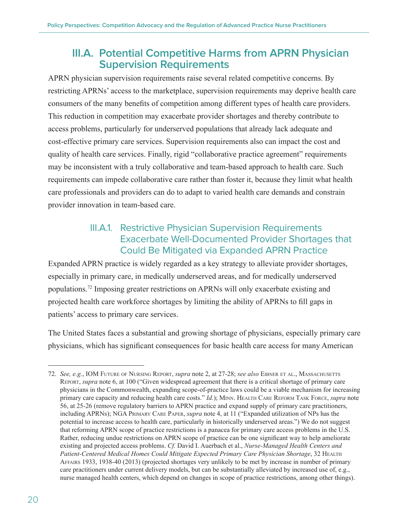#### <span id="page-23-0"></span>**III.A. Potential Competitive Harms from APRN Physician Supervision Requirements**

APRN physician supervision requirements raise several related competitive concerns. By restricting APRNs' access to the marketplace, supervision requirements may deprive health care consumers of the many benefits of competition among different types of health care providers. This reduction in competition may exacerbate provider shortages and thereby contribute to access problems, particularly for underserved populations that already lack adequate and cost-effective primary care services. Supervision requirements also can impact the cost and quality of health care services. Finally, rigid "collaborative practice agreement" requirements may be inconsistent with a truly collaborative and team-based approach to health care. Such requirements can impede collaborative care rather than foster it, because they limit what health care professionals and providers can do to adapt to varied health care demands and constrain provider innovation in team-based care.

#### III.A.1. Restrictive Physician Supervision Requirements Exacerbate Well-Documented Provider Shortages that Could Be Mitigated via Expanded APRN Practice

Expanded APRN practice is widely regarded as a key strategy to alleviate provider shortages, especially in primary care, in medically underserved areas, and for medically underserved populations.72 Imposing greater restrictions on APRNs will only exacerbate existing and projected health care workforce shortages by limiting the ability of APRNs to fill gaps in patients' access to primary care services.

The United States faces a substantial and growing shortage of physicians, especially primary care physicians, which has significant consequences for basic health care access for many American

<sup>72.</sup> *See, e.g.*, IOM Future of Nursing Report, *supra* note 2, at 27-28; *see also* Eibner et al., Massachusetts Report, *supra* note 6, at 100 ("Given widespread agreement that there is a critical shortage of primary care physicians in the Commonwealth, expanding scope-of-practice laws could be a viable mechanism for increasing primary care capacity and reducing health care costs." *Id.*); Minn. Health Care Reform Task Force, *supra* note 56, at 25-26 (remove regulatory barriers to APRN practice and expand supply of primary care practitioners, including APRNs); NGA Primary Care Paper, *supra* note 4, at 11 ("Expanded utilization of NPs has the potential to increase access to health care, particularly in historically underserved areas.") We do not suggest that reforming APRN scope of practice restrictions is a panacea for primary care access problems in the U.S. Rather, reducing undue restrictions on APRN scope of practice can be one significant way to help ameliorate existing and projected access problems. *Cf.* David I. Auerbach et al., *Nurse-Managed Health Centers and*  Patient-Centered Medical Homes Could Mitigate Expected Primary Care Physician Shortage, 32 HEALTH Affairs 1933, 1938-40 (2013) (projected shortages very unlikely to be met by increase in number of primary care practitioners under current delivery models, but can be substantially alleviated by increased use of, e.g., nurse managed health centers, which depend on changes in scope of practice restrictions, among other things).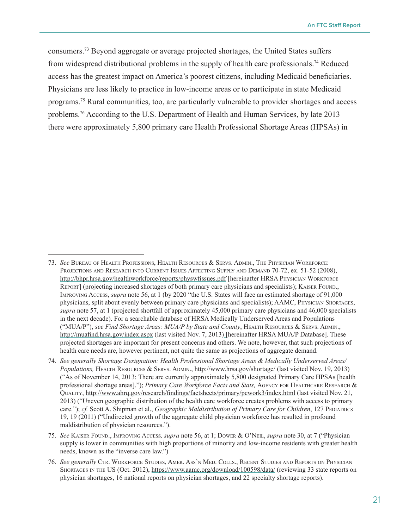consumers.<sup>73</sup> Beyond aggregate or average projected shortages, the United States suffers from widespread distributional problems in the supply of health care professionals.<sup>74</sup> Reduced access has the greatest impact on America's poorest citizens, including Medicaid beneficiaries. Physicians are less likely to practice in low-income areas or to participate in state Medicaid programs.<sup>75</sup> Rural communities, too, are particularly vulnerable to provider shortages and access problems.76 According to the U.S. Department of Health and Human Services, by late 2013 there were approximately 5,800 primary care Health Professional Shortage Areas (HPSAs) in

<sup>73.</sup> *See* Bureau of Health Professions, Health Resources & Servs. Admin., The Physician Workforce: PROJECTIONS AND RESEARCH INTO CURRENT ISSUES AFFECTING SUPPLY AND DEMAND 70-72, ex. 51-52 (2008), <http://bhpr.hrsa.gov/healthworkforce/reports/physwfissues.pdf> [hereinafter HRSA Physician Workforce Report] (projecting increased shortages of both primary care physicians and specialists); Kaiser Found., Improving Access, *supra* note 56, at 1 (by 2020 "the U.S. States will face an estimated shortage of 91,000 physicians, split about evenly between primary care physicians and specialists); AAMC, Physician Shortages, *supra* note 57, at 1 (projected shortfall of approximately 45,000 primary care physicians and 46,000 specialists in the next decade). For a searchable database of HRSA Medically Underserved Areas and Populations ("MUA/P"), *see Find Shortage Areas: MUA/P by State and County*, Health Resources & Servs. Admin., <http://muafind.hrsa.gov/index.aspx> (last visited Nov. 7, 2013) [hereinafter HRSA MUA/P Database]. These projected shortages are important for present concerns and others. We note, however, that such projections of health care needs are, however pertinent, not quite the same as projections of aggregate demand.

<sup>74.</sup> *See generally Shortage Designation: Health Professional Shortage Areas & Medically Underserved Areas/ Populations,* Health Resources & Servs. Admin., <http://www.hrsa.gov/shortage/> (last visited Nov. 19, 2013) ("As of November 14, 2013: There are currently approximately 5,800 designated Primary Care HPSAs [health professional shortage areas]."); *Primary Care Workforce Facts and Stats*, AGENCY FOR HEALTHCARE RESEARCH & Quality, <http://www.ahrq.gov/research/findings/factsheets/primary/pcwork3/index.html> (last visited Nov. 21, 2013) ("Uneven geographic distribution of the health care workforce creates problems with access to primary care."); *cf.* Scott A. Shipman et al., *Geographic Maldistribution of Primary Care for Children*, 127 PEDIATRICS 19, 19 (2011) ("Undirected growth of the aggregate child physician workforce has resulted in profound maldistribution of physician resources.").

<sup>75.</sup> *See* Kaiser Found., Improving Access*, supra* note 56, at 1; Dower & O'Neil, *supra* note 30, at 7 ("Physician supply is lower in communities with high proportions of minority and low-income residents with greater health needs, known as the "inverse care law.")

<sup>76.</sup> *See generally* Ctr. Workforce Studies, Amer. Ass'n Med. Colls., Recent Studies and Reports on Physician SHORTAGES IN THE US (Oct. 2012), <https://www.aamc.org/download/100598/data/> (reviewing 33 state reports on physician shortages, 16 national reports on physician shortages, and 22 specialty shortage reports).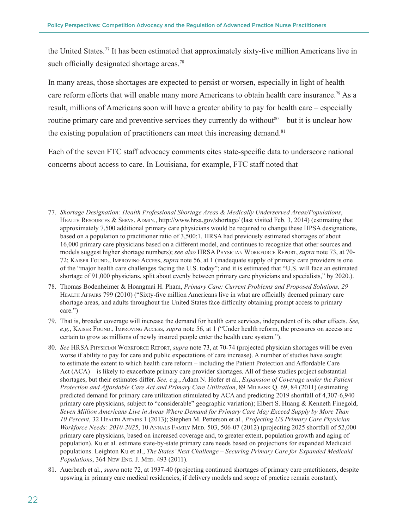the United States.<sup>77</sup> It has been estimated that approximately sixty-five million Americans live in such officially designated shortage areas.<sup>78</sup>

In many areas, those shortages are expected to persist or worsen, especially in light of health care reform efforts that will enable many more Americans to obtain health care insurance.<sup>79</sup> As a result, millions of Americans soon will have a greater ability to pay for health care – especially routine primary care and preventive services they currently do without<sup>80</sup> – but it is unclear how the existing population of practitioners can meet this increasing demand.<sup>81</sup>

Each of the seven FTC staff advocacy comments cites state-specific data to underscore national concerns about access to care. In Louisiana, for example, FTC staff noted that

81. Auerbach et al., *supra* note 72, at 1937-40 (projecting continued shortages of primary care practitioners, despite upswing in primary care medical residencies, if delivery models and scope of practice remain constant).

<sup>77.</sup> *Shortage Designation: Health Professional Shortage Areas & Medically Underserved Areas/Populations*, HEALTH RESOURCES & SERVS. ADMIN., <http://www.hrsa.gov/shortage/> (last visited Feb. 3, 2014) (estimating that approximately 7,500 additional primary care physicians would be required to change these HPSA designations, based on a population to practitioner ratio of 3,500:1. HRSA had previously estimated shortages of about 16,000 primary care physicians based on a different model, and continues to recognize that other sources and models suggest higher shortage numbers); *see also* HRSA Physician Workforce Report, *supra* note 73, at 70- 72; Kaiser Found., Improving Access, *supra* note 56, at 1 (inadequate supply of primary care providers is one of the "major health care challenges facing the U.S. today"; and it is estimated that "U.S. will face an estimated shortage of 91,000 physicians, split about evenly between primary care physicians and specialists," by 2020.).

<sup>78.</sup> Thomas Bodenheimer & Hoangmai H. Pham, *Primary Care: Current Problems and Proposed Solutions, 29*  Health Affairs 799 (2010) ("Sixty-five million Americans live in what are officially deemed primary care shortage areas, and adults throughout the United States face difficulty obtaining prompt access to primary care.")

<sup>79.</sup> That is, broader coverage will increase the demand for health care services, independent of its other effects. *See, e.g.*, Kaiser Found., Improving Access, *supra* note 56, at 1 ("Under health reform, the pressures on access are certain to grow as millions of newly insured people enter the health care system.").

<sup>80.</sup> *See* HRSA Physician Workforce Report, *supra* note 73, at 70-74 (projected physician shortages will be even worse if ability to pay for care and public expectations of care increase). A number of studies have sought to estimate the extent to which health care reform – including the Patient Protection and Affordable Care Act (ACA) – is likely to exacerbate primary care provider shortages. All of these studies project substantial shortages, but their estimates differ. *See, e.g.*, Adam N. Hofer et al., *Expansion of Coverage under the Patient Protection and Affordable Care Act and Primary Care Utilization*, 89 Milbank Q. 69, 84 (2011) (estimating predicted demand for primary care utilization stimulated by ACA and predicting 2019 shortfall of 4,307-6,940 primary care physicians, subject to "considerable" geographic variation); Elbert S. Huang & Kenneth Finegold, *Seven Million Americans Live in Areas Where Demand for Primary Care May Exceed Supply by More Than 10 Percent*, 32 Health Affairs 1 (2013); Stephen M. Petterson et al., *Projecting US Primary Care Physician Workforce Needs: 2010-2025*, 10 ANNALS FAMILY MED. 503, 506-07 (2012) (projecting 2025 shortfall of 52,000 primary care physicians, based on increased coverage and, to greater extent, population growth and aging of population). Ku et al. estimate state-by-state primary care needs based on projections for expanded Medicaid populations. Leighton Ku et al., *The States' Next Challenge – Securing Primary Care for Expanded Medicaid Populations*, 364 New Eng. J. Med. 493 (2011).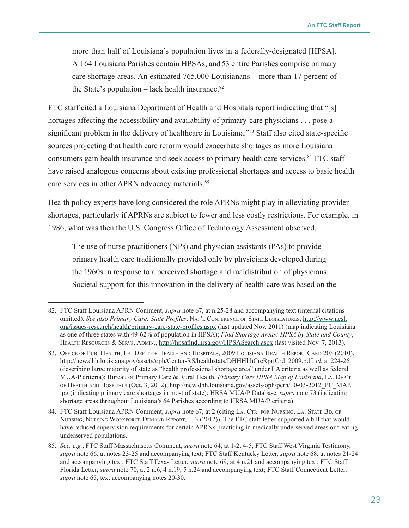more than half of Louisiana's population lives in a federally-designated [HPSA]. All 64 Louisiana Parishes contain HPSAs, and 53 entire Parishes comprise primary care shortage areas. An estimated 765,000 Louisianans – more than 17 percent of the State's population  $-$  lack health insurance.<sup>82</sup>

FTC staff cited a Louisiana Department of Health and Hospitals report indicating that "[s] hortages affecting the accessibility and availability of primary-care physicians . . . pose a significant problem in the delivery of healthcare in Louisiana.<sup>783</sup> Staff also cited state-specific sources projecting that health care reform would exacerbate shortages as more Louisiana consumers gain health insurance and seek access to primary health care services.<sup>84</sup> FTC staff have raised analogous concerns about existing professional shortages and access to basic health care services in other APRN advocacy materials.<sup>85</sup>

Health policy experts have long considered the role APRNs might play in alleviating provider shortages, particularly if APRNs are subject to fewer and less costly restrictions. For example, in 1986, what was then the U.S. Congress Office of Technology Assessment observed,

The use of nurse practitioners (NPs) and physician assistants (PAs) to provide primary health care traditionally provided only by physicians developed during the 1960s in response to a perceived shortage and maldistribution of physicians. Societal support for this innovation in the delivery of health-care was based on the

<sup>82.</sup> FTC Staff Louisiana APRN Comment, *supra* note 67, at n.25-28 and accompanying text (internal citations omitted). *See also Primary Care: State Profiles*, Nat'l Conference of State Legislatures, [http://www.ncsl.](http://www.ncsl.org/issues-research/health/primary-care-state-profiles.aspx) [org/issues-research/health/primary-care-state-profiles.aspx](http://www.ncsl.org/issues-research/health/primary-care-state-profiles.aspx) (last updated Nov. 2011) (map indicating Louisiana as one of three states with 49-62% of population in HPSA); *Find Shortage Areas: HPSA by State and County*, Health Resources & Servs. Admin., <http://hpsafind.hrsa.gov/HPSASearch.aspx>(last visited Nov. 7, 2013).

<sup>83.</sup> Office of Pub. Health, La. Dep't of Health and Hospitals, 2009 Louisiana Health Report Card 203 (2010), [http://new.dhh.louisiana.gov/assets/oph/Center-RS/healthstats/DHHHlthCreRprtCrd\\_2009.pdf](http://new.dhh.louisiana.gov/assets/oph/Center-RS/healthstats/DHHHlthCreRprtCrd_2009.pdf); *id.* at 224-26 (describing large majority of state as "health professional shortage area" under LA criteria as well as federal MUA/P criteria); Bureau of Primary Care & Rural Health, *Primary Care HPSA Map of Louisiana*, La. Dep't of Health and Hospitals (Oct. 3, 2012), [http://new.dhh.louisiana.gov/assets/oph/pcrh/10-03-2012\\_PC\\_MAP.](http://new.dhh.louisiana.gov/assets/oph/pcrh/10-03-2012_PC_MAP.jpg) [jpg](http://new.dhh.louisiana.gov/assets/oph/pcrh/10-03-2012_PC_MAP.jpg) (indicating primary care shortages in most of state); HRSA MUA/P Database, *supra* note 73 (indicating shortage areas throughout Louisiana's 64 Parishes according to HRSA MUA/P criteria).

<sup>84.</sup> FTC Staff Louisiana APRN Comment, *supra* note 67, at 2 (citing LA. CTR. FOR NURSING, LA. STATE BD. OF Nursing, Nursing Workforce Demand Report, 1, 3 (2012)). The FTC staff letter supported a bill that would have reduced supervision requirements for certain APRNs practicing in medically underserved areas or treating underserved populations.

<sup>85.</sup> *See, e.g.*, FTC Staff Massachusetts Comment, *supra* note 64, at 1-2, 4-5; FTC Staff West Virginia Testimony, *supra* note 66, at notes 23-25 and accompanying text; FTC Staff Kentucky Letter, *supra* note 68, at notes 21-24 and accompanying text; FTC Staff Texas Letter, *supra* note 69, at 4 n.21 and accompanying text; FTC Staff Florida Letter, *supra* note 70, at 2 n.6, 4 n.19, 5 n.24 and accompanying text; FTC Staff Connecticut Letter, *supra* note 65, text accompanying notes 20-30.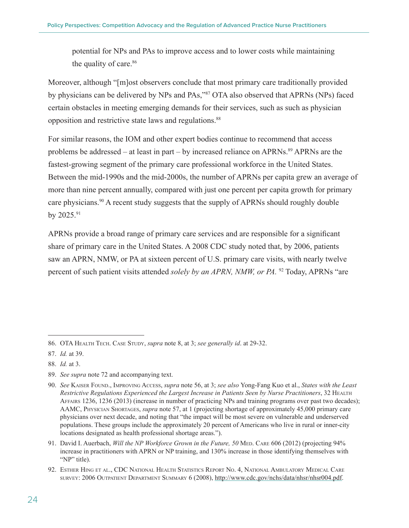potential for NPs and PAs to improve access and to lower costs while maintaining the quality of care.<sup>86</sup>

Moreover, although "[m]ost observers conclude that most primary care traditionally provided by physicians can be delivered by NPs and PAs,"87 OTA also observed that APRNs (NPs) faced certain obstacles in meeting emerging demands for their services, such as such as physician opposition and restrictive state laws and regulations.<sup>88</sup>

For similar reasons, the IOM and other expert bodies continue to recommend that access problems be addressed – at least in part – by increased reliance on APRNs.<sup>89</sup> APRNs are the fastest-growing segment of the primary care professional workforce in the United States. Between the mid-1990s and the mid-2000s, the number of APRNs per capita grew an average of more than nine percent annually, compared with just one percent per capita growth for primary care physicians.<sup>90</sup> A recent study suggests that the supply of APRNs should roughly double by 2025.91

APRNs provide a broad range of primary care services and are responsible for a significant share of primary care in the United States. A 2008 CDC study noted that, by 2006, patients saw an APRN, NMW, or PA at sixteen percent of U.S. primary care visits, with nearly twelve percent of such patient visits attended *solely by an APRN, NMW, or PA*. <sup>92</sup> Today, APRNs "are

89. *See supra* note 72 and accompanying text.

<sup>86.</sup> OTA Health Tech. Case Study, *supra* note 8, at 3; *see generally id*. at 29-32.

<sup>87.</sup> *Id.* at 39.

<sup>88.</sup> *Id.* at 3.

<sup>90.</sup> *See* Kaiser Found., Improving Access, *supra* note 56, at 3; *see also* Yong-Fang Kuo et al., *States with the Least Restrictive Regulations Experienced the Largest Increase in Patients Seen by Nurse Practitioners*, 32 Health Affairs 1236, 1236 (2013) (increase in number of practicing NPs and training programs over past two decades); AAMC, Physician Shortages, *supra* note 57, at 1 (projecting shortage of approximately 45,000 primary care physicians over next decade, and noting that "the impact will be most severe on vulnerable and underserved populations. These groups include the approximately 20 percent of Americans who live in rural or inner-city locations designated as health professional shortage areas.").

<sup>91.</sup> David I. Auerbach, *Will the NP Workforce Grown in the Future, 50 MED.* CARE 606 (2012) (projecting 94% increase in practitioners with APRN or NP training, and 130% increase in those identifying themselves with "NP" title).

<sup>92.</sup> Esther Hing et al., CDC National Health Statistics Report No. 4, National Ambulatory Medical Care survey: 2006 Outpatient Department Summary 6 (2008), <http://www.cdc.gov/nchs/data/nhsr/nhsr004.pdf>.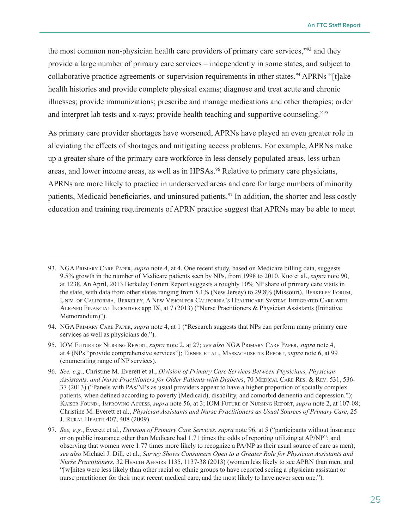the most common non-physician health care providers of primary care services,"93 and they provide a large number of primary care services – independently in some states, and subject to collaborative practice agreements or supervision requirements in other states.<sup>94</sup> APRNs "[t]ake health histories and provide complete physical exams; diagnose and treat acute and chronic illnesses; provide immunizations; prescribe and manage medications and other therapies; order and interpret lab tests and x-rays; provide health teaching and supportive counseling."95

As primary care provider shortages have worsened, APRNs have played an even greater role in alleviating the effects of shortages and mitigating access problems. For example, APRNs make up a greater share of the primary care workforce in less densely populated areas, less urban areas, and lower income areas, as well as in HPSAs.<sup>96</sup> Relative to primary care physicians, APRNs are more likely to practice in underserved areas and care for large numbers of minority patients, Medicaid beneficiaries, and uninsured patients.<sup>97</sup> In addition, the shorter and less costly education and training requirements of APRN practice suggest that APRNs may be able to meet

<sup>93.</sup> NGA Primary Care Paper, *supra* note 4, at 4. One recent study, based on Medicare billing data, suggests 9.5% growth in the number of Medicare patients seen by NPs, from 1998 to 2010. Kuo et al., *supra* note 90, at 1238. An April, 2013 Berkeley Forum Report suggests a roughly 10% NP share of primary care visits in the state, with data from other states ranging from 5.1% (New Jersey) to 29.8% (Missouri). Berkeley Forum, Univ. of California, Berkeley, A New Vision for California's Healthcare System: Integrated Care with ALIGNED FINANCIAL INCENTIVES app IX, at 7 (2013) ("Nurse Practitioners & Physician Assistants (Initiative Memorandum)").

<sup>94.</sup> NGA Primary Care Paper, *supra* note 4, at 1 ("Research suggests that NPs can perform many primary care services as well as physicians do.").

<sup>95.</sup> IOM Future of Nursing Report, *supra* note 2, at 27; *see also* NGA Primary Care Paper, *supra* note 4, at 4 (NPs "provide comprehensive services"); Eibner et al., Massachusetts Report, *supra* note 6, at 99 (enumerating range of NP services).

<sup>96.</sup> *See, e.g.*, Christine M. Everett et al., *Division of Primary Care Services Between Physicians, Physician*  Assistants, and Nurse Practitioners for Older Patients with Diabetes, 70 MEDICAL CARE RES. & REV. 531, 536-37 (2013) ("Panels with PAs/NPs as usual providers appear to have a higher proportion of socially complex patients, when defined according to poverty (Medicaid), disability, and comorbid dementia and depression."); Kaiser Found., Improving Access, *supra* note 56, at 3; IOM Future of Nursing Report, *supra* note 2, at 107-08; Christine M. Everett et al., *Physician Assistants and Nurse Practitioners as Usual Sources of Primary Care*, 25 J. Rural Health 407, 408 (2009).

<sup>97.</sup> *See, e.g.*, Everett et al., *Division of Primary Care Services*, *supra* note 96, at 5 ("participants without insurance or on public insurance other than Medicare had 1.71 times the odds of reporting utilizing at AP/NP"; and observing that women were 1.77 times more likely to recognize a PA/NP as their usual source of care as men); *see also* Michael J. Dill, et al., *Survey Shows Consumers Open to a Greater Role for Physician Assistants and Nurse Practitioners*, 32 Health Affairs 1135, 1137-38 (2013) (women less likely to see APRN than men, and "[w]hites were less likely than other racial or ethnic groups to have reported seeing a physician assistant or nurse practitioner for their most recent medical care, and the most likely to have never seen one.").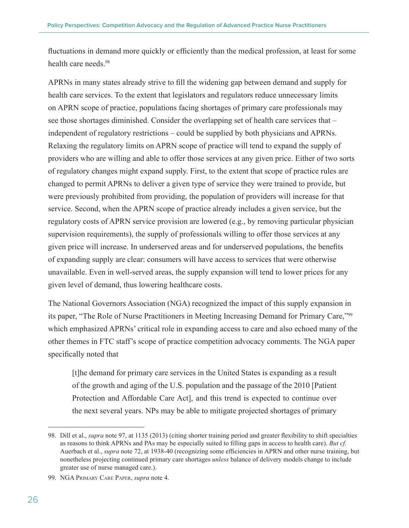fluctuations in demand more quickly or efficiently than the medical profession, at least for some health care needs.<sup>98</sup>

APRNs in many states already strive to fill the widening gap between demand and supply for health care services. To the extent that legislators and regulators reduce unnecessary limits on APRN scope of practice, populations facing shortages of primary care professionals may see those shortages diminished. Consider the overlapping set of health care services that – independent of regulatory restrictions – could be supplied by both physicians and APRNs. Relaxing the regulatory limits on APRN scope of practice will tend to expand the supply of providers who are willing and able to offer those services at any given price. Either of two sorts of regulatory changes might expand supply. First, to the extent that scope of practice rules are changed to permit APRNs to deliver a given type of service they were trained to provide, but were previously prohibited from providing, the population of providers will increase for that service. Second, when the APRN scope of practice already includes a given service, but the regulatory costs of APRN service provision are lowered (e.g., by removing particular physician supervision requirements), the supply of professionals willing to offer those services at any given price will increase. In underserved areas and for underserved populations, the benefits of expanding supply are clear: consumers will have access to services that were otherwise unavailable. Even in well-served areas, the supply expansion will tend to lower prices for any given level of demand, thus lowering healthcare costs.

The National Governors Association (NGA) recognized the impact of this supply expansion in its paper, "The Role of Nurse Practitioners in Meeting Increasing Demand for Primary Care,"99 which emphasized APRNs' critical role in expanding access to care and also echoed many of the other themes in FTC staff's scope of practice competition advocacy comments. The NGA paper specifically noted that

[t]he demand for primary care services in the United States is expanding as a result of the growth and aging of the U.S. population and the passage of the 2010 [Patient Protection and Affordable Care Act], and this trend is expected to continue over the next several years. NPs may be able to mitigate projected shortages of primary

<sup>98.</sup> Dill et al., *supra* note 97, at 1135 (2013) (citing shorter training period and greater flexibility to shift specialties as reasons to think APRNs and PAs may be especially suited to filling gaps in access to health care). *But cf.*  Auerbach et al., *supra* note 72, at 1938-40 (recognizing some efficiencies in APRN and other nurse training, but nonetheless projecting continued primary care shortages *unless* balance of delivery models change to include greater use of nurse managed care.).

<sup>99.</sup> NGA Primary Care Paper, *supra* note 4.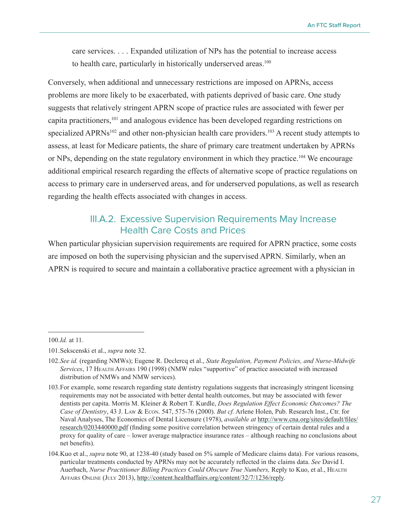<span id="page-30-0"></span>care services. . . . Expanded utilization of NPs has the potential to increase access to health care, particularly in historically underserved areas.<sup>100</sup>

Conversely, when additional and unnecessary restrictions are imposed on APRNs, access problems are more likely to be exacerbated, with patients deprived of basic care. One study suggests that relatively stringent APRN scope of practice rules are associated with fewer per capita practitioners,<sup>101</sup> and analogous evidence has been developed regarding restrictions on specialized APRNs<sup>102</sup> and other non-physician health care providers.<sup>103</sup> A recent study attempts to assess, at least for Medicare patients, the share of primary care treatment undertaken by APRNs or NPs, depending on the state regulatory environment in which they practice.<sup>104</sup> We encourage additional empirical research regarding the effects of alternative scope of practice regulations on access to primary care in underserved areas, and for underserved populations, as well as research regarding the health effects associated with changes in access.

#### III.A.2. Excessive Supervision Requirements May Increase Health Care Costs and Prices

When particular physician supervision requirements are required for APRN practice, some costs are imposed on both the supervising physician and the supervised APRN. Similarly, when an APRN is required to secure and maintain a collaborative practice agreement with a physician in

<sup>100.</sup>*Id.* at 11.

<sup>101.</sup>Sekscenski et al., *supra* note 32.

<sup>102.</sup>*See id.* (regarding NMWs); Eugene R. Declercq et al., *State Regulation, Payment Policies, and Nurse-Midwife Services*, 17 Health Affairs 190 (1998) (NMW rules "supportive" of practice associated with increased distribution of NMWs and NMW services).

<sup>103.</sup>For example, some research regarding state dentistry regulations suggests that increasingly stringent licensing requirements may not be associated with better dental health outcomes, but may be associated with fewer dentists per capita. Morris M. Kleiner & Robert T. Kurdle, *Does Regulation Effect Economic Outcomes? The Case of Dentistry*, 43 J. Law & Econ. 547, 575-76 (2000). *But cf.* Arlene Holen, Pub. Research Inst., Ctr. for Naval Analyses, The Economics of Dental Licensure (1978), *available at* [http://www.cna.org/sites/default/files/](http://www.cna.org/sites/default/files/research/0203440000.pdf) [research/0203440000.pdf](http://www.cna.org/sites/default/files/research/0203440000.pdf) (finding some positive correlation between stringency of certain dental rules and a proxy for quality of care – lower average malpractice insurance rates – although reaching no conclusions about net benefits).

<sup>104.</sup>Kuo et al., *supra* note 90, at 1238-40 (study based on 5% sample of Medicare claims data). For various reasons, particular treatments conducted by APRNs may not be accurately reflected in the claims data. *See* David I. Auerbach, *Nurse Practitioner Billing Practices Could Obscure True Numbers*, Reply to Kuo, et al., HEALTH Affairs Online (July 2013),<http://content.healthaffairs.org/content/32/7/1236/reply>.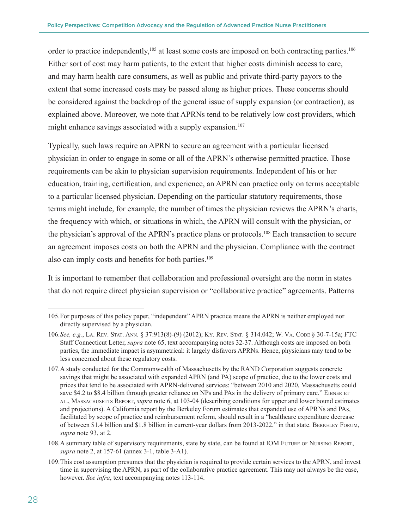order to practice independently,<sup>105</sup> at least some costs are imposed on both contracting parties.<sup>106</sup> Either sort of cost may harm patients, to the extent that higher costs diminish access to care, and may harm health care consumers, as well as public and private third-party payors to the extent that some increased costs may be passed along as higher prices. These concerns should be considered against the backdrop of the general issue of supply expansion (or contraction), as explained above. Moreover, we note that APRNs tend to be relatively low cost providers, which might enhance savings associated with a supply expansion.<sup>107</sup>

Typically, such laws require an APRN to secure an agreement with a particular licensed physician in order to engage in some or all of the APRN's otherwise permitted practice. Those requirements can be akin to physician supervision requirements. Independent of his or her education, training, certification, and experience, an APRN can practice only on terms acceptable to a particular licensed physician. Depending on the particular statutory requirements, those terms might include, for example, the number of times the physician reviews the APRN's charts, the frequency with which, or situations in which, the APRN will consult with the physician, or the physician's approval of the APRN's practice plans or protocols.108 Each transaction to secure an agreement imposes costs on both the APRN and the physician. Compliance with the contract also can imply costs and benefits for both parties.<sup>109</sup>

It is important to remember that collaboration and professional oversight are the norm in states that do not require direct physician supervision or "collaborative practice" agreements. Patterns

<sup>105.</sup>For purposes of this policy paper, "independent" APRN practice means the APRN is neither employed nor directly supervised by a physician.

<sup>106.</sup>*See, e.g.*, La. Rev. Stat. Ann. § 37:913(8)-(9) (2012); Ky. Rev. Stat. § 314.042; W. Va. Code § 30-7-15a; FTC Staff Connecticut Letter, *supra* note 65, text accompanying notes 32-37. Although costs are imposed on both parties, the immediate impact is asymmetrical: it largely disfavors APRNs. Hence, physicians may tend to be less concerned about these regulatory costs.

<sup>107.</sup>A study conducted for the Commonwealth of Massachusetts by the RAND Corporation suggests concrete savings that might be associated with expanded APRN (and PA) scope of practice, due to the lower costs and prices that tend to be associated with APRN-delivered services: "between 2010 and 2020, Massachusetts could save \$4.2 to \$8.4 billion through greater reliance on NPs and PAs in the delivery of primary care." EIBNER ET al., Massachusetts Report, *supra* note 6, at 103-04 (describing conditions for upper and lower bound estimates and projections). A California report by the Berkeley Forum estimates that expanded use of APRNs and PAs, facilitated by scope of practice and reimbursement reform, should result in a "healthcare expenditure decrease of between \$1.4 billion and \$1.8 billion in current-year dollars from 2013-2022," in that state. Berkeley Forum, *supra* note 93, at 2.

<sup>108.</sup>A summary table of supervisory requirements, state by state, can be found at IOM Future of Nursing Report, *supra* note 2, at 157-61 (annex 3-1, table 3-A1).

<sup>109.</sup>This cost assumption presumes that the physician is required to provide certain services to the APRN, and invest time in supervising the APRN, as part of the collaborative practice agreement. This may not always be the case, however. *See infra*, text accompanying notes 113-114.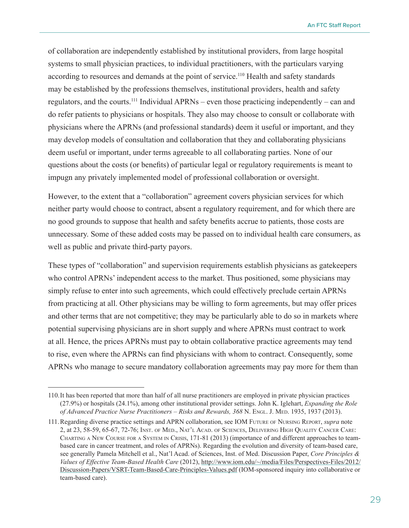of collaboration are independently established by institutional providers, from large hospital systems to small physician practices, to individual practitioners, with the particulars varying according to resources and demands at the point of service.<sup>110</sup> Health and safety standards may be established by the professions themselves, institutional providers, health and safety regulators, and the courts.<sup>111</sup> Individual APRNs – even those practicing independently – can and do refer patients to physicians or hospitals. They also may choose to consult or collaborate with physicians where the APRNs (and professional standards) deem it useful or important, and they may develop models of consultation and collaboration that they and collaborating physicians deem useful or important, under terms agreeable to all collaborating parties. None of our questions about the costs (or benefits) of particular legal or regulatory requirements is meant to impugn any privately implemented model of professional collaboration or oversight.

However, to the extent that a "collaboration" agreement covers physician services for which neither party would choose to contract, absent a regulatory requirement, and for which there are no good grounds to suppose that health and safety benefits accrue to patients, those costs are unnecessary. Some of these added costs may be passed on to individual health care consumers, as well as public and private third-party payors.

These types of "collaboration" and supervision requirements establish physicians as gatekeepers who control APRNs' independent access to the market. Thus positioned, some physicians may simply refuse to enter into such agreements, which could effectively preclude certain APRNs from practicing at all. Other physicians may be willing to form agreements, but may offer prices and other terms that are not competitive; they may be particularly able to do so in markets where potential supervising physicians are in short supply and where APRNs must contract to work at all. Hence, the prices APRNs must pay to obtain collaborative practice agreements may tend to rise, even where the APRNs can find physicians with whom to contract. Consequently, some APRNs who manage to secure mandatory collaboration agreements may pay more for them than

<sup>110.</sup>It has been reported that more than half of all nurse practitioners are employed in private physician practices (27.9%) or hospitals (24.1%), among other institutional provider settings. John K. Iglehart, *Expanding the Role*  of Advanced Practice Nurse Practitioners – Risks and Rewards, 368 N. Engl. J. Med. 1935, 1937 (2013).

<sup>111.</sup>Regarding diverse practice settings and APRN collaboration, see IOM Future of Nursing Report, *supra* note 2, at 23, 58-59, 65-67, 72-76; Inst. of Med., Nat'l Acad. of Sciences, Delivering High Quality Cancer Care: Charting <sup>a</sup> New Course for <sup>a</sup> System in Crisis, 171-81 (2013) (importance of and different approaches to teambased care in cancer treatment, and roles of APRNs). Regarding the evolution and diversity of team-based care, see generally Pamela Mitchell et al., Nat'l Acad. of Sciences, Inst. of Med. Discussion Paper, *Core Principles & Values of Effective Team-Based Health Care* (2012), [http://www.iom.edu/~/media/Files/Perspectives-Files/2012/](http://www.iom.edu/~/media/Files/Perspectives-Files/2012/Discussion-Papers/VSRT-Team-Based-Care-Principles-Values.pdf) [Discussion-Papers/VSRT-Team-Based-Care-Principles-Values.pdf](http://www.iom.edu/~/media/Files/Perspectives-Files/2012/Discussion-Papers/VSRT-Team-Based-Care-Principles-Values.pdf) (IOM-sponsored inquiry into collaborative or team-based care).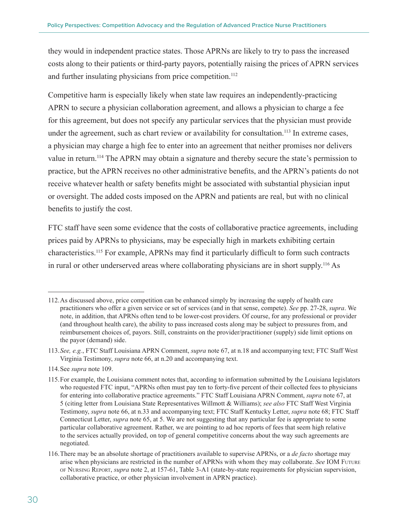they would in independent practice states. Those APRNs are likely to try to pass the increased costs along to their patients or third-party payors, potentially raising the prices of APRN services and further insulating physicians from price competition.<sup>112</sup>

Competitive harm is especially likely when state law requires an independently-practicing APRN to secure a physician collaboration agreement, and allows a physician to charge a fee for this agreement, but does not specify any particular services that the physician must provide under the agreement, such as chart review or availability for consultation.<sup>113</sup> In extreme cases, a physician may charge a high fee to enter into an agreement that neither promises nor delivers value in return.<sup>114</sup> The APRN may obtain a signature and thereby secure the state's permission to practice, but the APRN receives no other administrative benefits, and the APRN's patients do not receive whatever health or safety benefits might be associated with substantial physician input or oversight. The added costs imposed on the APRN and patients are real, but with no clinical benefits to justify the cost.

FTC staff have seen some evidence that the costs of collaborative practice agreements, including prices paid by APRNs to physicians, may be especially high in markets exhibiting certain characteristics.115 For example, APRNs may find it particularly difficult to form such contracts in rural or other underserved areas where collaborating physicians are in short supply.<sup>116</sup> As

<sup>112.</sup>As discussed above, price competition can be enhanced simply by increasing the supply of health care practitioners who offer a given service or set of services (and in that sense, compete). *See* pp. 27-28, *supra*. We note, in addition, that APRNs often tend to be lower-cost providers. Of course, for any professional or provider (and throughout health care), the ability to pass increased costs along may be subject to pressures from, and reimbursement choices of, payors. Still, constraints on the provider/practitioner (supply) side limit options on the payor (demand) side.

<sup>113.</sup>*See, e.g.*, FTC Staff Louisiana APRN Comment, *supra* note 67, at n.18 and accompanying text; FTC Staff West Virginia Testimony, *supra* note 66, at n.20 and accompanying text.

<sup>114.</sup>See *supra* note 109.

<sup>115.</sup>For example, the Louisiana comment notes that, according to information submitted by the Louisiana legislators who requested FTC input, "APRNs often must pay ten to forty-five percent of their collected fees to physicians for entering into collaborative practice agreements." FTC Staff Louisiana APRN Comment, *supra* note 67, at 5 (citing letter from Louisiana State Representatives Willmott & Williams); *see also* FTC Staff West Virginia Testimony, *supra* note 66, at n.33 and accompanying text; FTC Staff Kentucky Letter, *supra* note 68; FTC Staff Connecticut Letter, *supra* note 65, at 5. We are not suggesting that any particular fee is appropriate to some particular collaborative agreement. Rather, we are pointing to ad hoc reports of fees that seem high relative to the services actually provided, on top of general competitive concerns about the way such agreements are negotiated.

<sup>116.</sup>There may be an absolute shortage of practitioners available to supervise APRNs, or a *de facto* shortage may arise when physicians are restricted in the number of APRNs with whom they may collaborate. *See* IOM Future of Nursing Report, *supra* note 2, at 157-61, Table 3-A1 (state-by-state requirements for physician supervision, collaborative practice, or other physician involvement in APRN practice).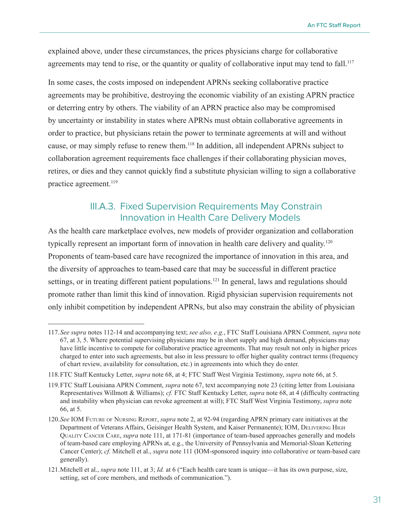<span id="page-34-0"></span>explained above, under these circumstances, the prices physicians charge for collaborative agreements may tend to rise, or the quantity or quality of collaborative input may tend to fall.<sup>117</sup>

In some cases, the costs imposed on independent APRNs seeking collaborative practice agreements may be prohibitive, destroying the economic viability of an existing APRN practice or deterring entry by others. The viability of an APRN practice also may be compromised by uncertainty or instability in states where APRNs must obtain collaborative agreements in order to practice, but physicians retain the power to terminate agreements at will and without cause, or may simply refuse to renew them.118 In addition, all independent APRNs subject to collaboration agreement requirements face challenges if their collaborating physician moves, retires, or dies and they cannot quickly find a substitute physician willing to sign a collaborative practice agreement.<sup>119</sup>

#### III.A.3. Fixed Supervision Requirements May Constrain Innovation in Health Care Delivery Models

As the health care marketplace evolves, new models of provider organization and collaboration typically represent an important form of innovation in health care delivery and quality.<sup>120</sup> Proponents of team-based care have recognized the importance of innovation in this area, and the diversity of approaches to team-based care that may be successful in different practice settings, or in treating different patient populations.<sup>121</sup> In general, laws and regulations should promote rather than limit this kind of innovation. Rigid physician supervision requirements not only inhibit competition by independent APRNs, but also may constrain the ability of physician

<sup>117.</sup>*See supra* notes 112-14 and accompanying text; *see also, e.g.*, FTC Staff Louisiana APRN Comment, *supra* note 67, at 3, 5. Where potential supervising physicians may be in short supply and high demand, physicians may have little incentive to compete for collaborative practice agreements. That may result not only in higher prices charged to enter into such agreements, but also in less pressure to offer higher quality contract terms (frequency of chart review, availability for consultation, etc.) in agreements into which they do enter.

<sup>118.</sup>FTC Staff Kentucky Letter, *supra* note 68, at 4; FTC Staff West Virginia Testimony, *supra* note 66, at 5.

<sup>119.</sup>FTC Staff Louisiana APRN Comment, *supra* note 67, text accompanying note 23 (citing letter from Louisiana Representatives Willmott & Williams); *cf.* FTC Staff Kentucky Letter, *supra* note 68, at 4 (difficulty contracting and instability when physician can revoke agreement at will); FTC Staff West Virginia Testimony, *supra* note 66, at 5.

<sup>120.</sup>*See* IOM Future of Nursing Report, *supra* note 2, at 92-94 (regarding APRN primary care initiatives at the Department of Veterans Affairs, Geisinger Health System, and Kaiser Permanente); IOM, DELIVERING HIGH Quality Cancer Care, *supra* note 111, at 171-81 (importance of team-based approaches generally and models of team-based care employing APRNs at, e.g., the University of Pennsylvania and Memorial-Sloan Kettering Cancer Center); *cf.* Mitchell et al., *supra* note 111 (IOM-sponsored inquiry into collaborative or team-based care generally).

<sup>121.</sup>Mitchell et al., *supra* note 111, at 3; *Id.* at 6 ("Each health care team is unique—it has its own purpose, size, setting, set of core members, and methods of communication.").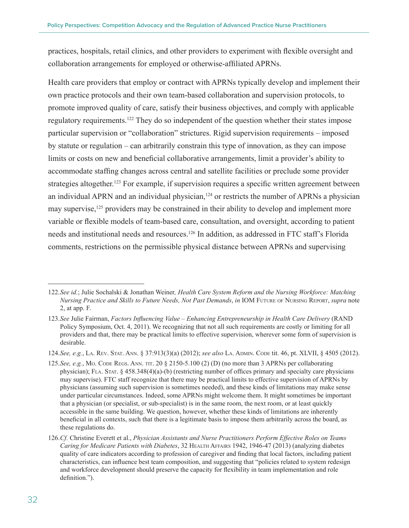practices, hospitals, retail clinics, and other providers to experiment with flexible oversight and collaboration arrangements for employed or otherwise-affiliated APRNs.

Health care providers that employ or contract with APRNs typically develop and implement their own practice protocols and their own team-based collaboration and supervision protocols, to promote improved quality of care, satisfy their business objectives, and comply with applicable regulatory requirements.<sup>122</sup> They do so independent of the question whether their states impose particular supervision or "collaboration" strictures. Rigid supervision requirements – imposed by statute or regulation – can arbitrarily constrain this type of innovation, as they can impose limits or costs on new and beneficial collaborative arrangements, limit a provider's ability to accommodate staffing changes across central and satellite facilities or preclude some provider strategies altogether.<sup>123</sup> For example, if supervision requires a specific written agreement between an individual APRN and an individual physician, $124$  or restricts the number of APRNs a physician may supervise,<sup>125</sup> providers may be constrained in their ability to develop and implement more variable or flexible models of team-based care, consultation, and oversight, according to patient needs and institutional needs and resources.<sup>126</sup> In addition, as addressed in FTC staff's Florida comments, restrictions on the permissible physical distance between APRNs and supervising

<sup>122.</sup>*See id.*; Julie Sochalski & Jonathan Weiner*, Health Care System Reform and the Nursing Workforce: Matching Nursing Practice and Skills to Future Needs, Not Past Demands*, *in* IOM Future of Nursing Report, *supra* note 2, at app. F.

<sup>123.</sup>*See* Julie Fairman, *Factors Influencing Value – Enhancing Entrepreneurship in Health Care Delivery* (RAND Policy Symposium, Oct. 4, 2011). We recognizing that not all such requirements are costly or limiting for all providers and that, there may be practical limits to effective supervision, wherever some form of supervision is desirable.

<sup>124.</sup>*See, e.g.*, La. Rev. Stat. Ann. § 37:913(3)(a) (2012); *see also* La. Admin. Code tit. 46, pt. XLVII, § 4505 (2012).

<sup>125.</sup>*See, e.g.*, Mo. Code Regs. Ann. TIT. 20 § 2150-5.100 (2) (D) (no more than 3 APRNs per collaborating physician); FLA. STAT.  $\S$  458.348(4)(a)-(b) (restricting number of offices primary and specialty care physicians may supervise). FTC staff recognize that there may be practical limits to effective supervision of APRNs by physicians (assuming such supervision is sometimes needed), and these kinds of limitations may make sense under particular circumstances. Indeed, some APRNs might welcome them. It might sometimes be important that a physician (or specialist, or sub-specialist) is in the same room, the next room, or at least quickly accessible in the same building. We question, however, whether these kinds of limitations are inherently beneficial in all contexts, such that there is a legitimate basis to impose them arbitrarily across the board, as these regulations do.

<sup>126.</sup>*Cf.* Christine Everett et al., *Physician Assistants and Nurse Practitioners Perform Effective Roles on Teams Caring for Medicare Patients with Diabetes*, 32 Health Affairs 1942, 1946-47 (2013) (analyzing diabetes quality of care indicators according to profession of caregiver and finding that local factors, including patient characteristics, can influence best team composition, and suggesting that "policies related to system redesign and workforce development should preserve the capacity for flexibility in team implementation and role definition.").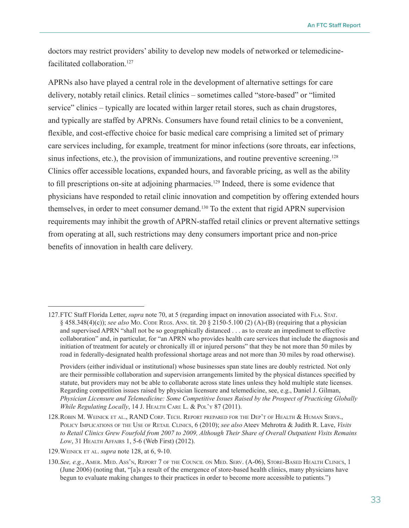doctors may restrict providers' ability to develop new models of networked or telemedicinefacilitated collaboration.<sup>127</sup>

APRNs also have played a central role in the development of alternative settings for care delivery, notably retail clinics. Retail clinics – sometimes called "store-based" or "limited service" clinics – typically are located within larger retail stores, such as chain drugstores, and typically are staffed by APRNs. Consumers have found retail clinics to be a convenient, flexible, and cost-effective choice for basic medical care comprising a limited set of primary care services including, for example, treatment for minor infections (sore throats, ear infections, sinus infections, etc.), the provision of immunizations, and routine preventive screening.<sup>128</sup> Clinics offer accessible locations, expanded hours, and favorable pricing, as well as the ability to fill prescriptions on-site at adjoining pharmacies.<sup>129</sup> Indeed, there is some evidence that physicians have responded to retail clinic innovation and competition by offering extended hours themselves, in order to meet consumer demand.130 To the extent that rigid APRN supervision requirements may inhibit the growth of APRN-staffed retail clinics or prevent alternative settings from operating at all, such restrictions may deny consumers important price and non-price benefits of innovation in health care delivery.

<sup>127.</sup>FTC Staff Florida Letter, *supra* note 70, at 5 (regarding impact on innovation associated with Fla. Stat. § 458.348(4)(c)); *see also* Mo. Code Regs. Ann. tit. 20 § 2150-5.100 (2) (A)-(B) (requiring that a physician and supervised APRN "shall not be so geographically distanced . . . as to create an impediment to effective collaboration" and, in particular, for "an APRN who provides health care services that include the diagnosis and initiation of treatment for acutely or chronically ill or injured persons" that they be not more than 50 miles by road in federally-designated health professional shortage areas and not more than 30 miles by road otherwise).

Providers (either individual or institutional) whose businesses span state lines are doubly restricted. Not only are their permissible collaboration and supervision arrangements limited by the physical distances specified by statute, but providers may not be able to collaborate across state lines unless they hold multiple state licenses. Regarding competition issues raised by physician licensure and telemedicine, see, e.g., Daniel J. Gilman, *Physician Licensure and Telemedicine: Some Competitive Issues Raised by the Prospect of Practicing Globally While Regulating Locally*, 14 J. Health Care L. & Pol'y 87 (2011).

<sup>128.</sup>Robin M. Weinick et al., RAND Corp. Tech. Report prepared for the Dep't of Health & Human Servs., Policy Implications of the Use of Retail Clinics, 6 (2010); *see also* [Ateev Mehrotra](http://content.healthaffairs.org/search?author1=Ateev+Mehrotra&sortspec=date&submit=Submit) & [Judith R. Lave,](http://content.healthaffairs.org/search?author1=Judith+R.+Lave&sortspec=date&submit=Submit) *Visits to Retail Clinics Grew Fourfold from 2007 to 2009, Although Their Share of Overall Outpatient Visits Remains Low*, 31 Health Affairs 1, 5-6 (Web First) (2012).

<sup>129.</sup>Weinick et al. *supra* note 128, at 6, 9-10.

<sup>130.</sup>*See, e.g.*, Amer. Med. Ass'n, Report 7 of the Council on Med. Serv. (A-06), Store-Based Health Clinics, 1 (June 2006) (noting that, "[a]s a result of the emergence of store-based health clinics, many physicians have begun to evaluate making changes to their practices in order to become more accessible to patients.")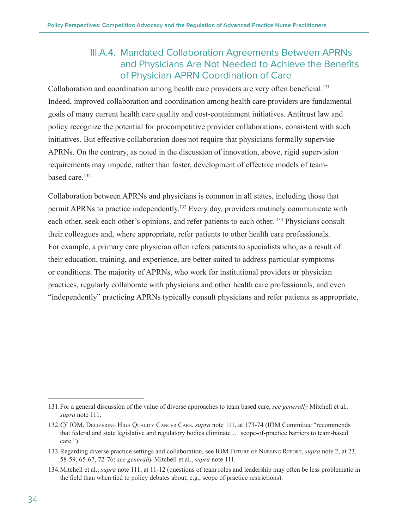#### III.A.4. Mandated Collaboration Agreements Between APRNs and Physicians Are Not Needed to Achieve the Benefits of Physician-APRN Coordination of Care

<span id="page-37-0"></span>Collaboration and coordination among health care providers are very often beneficial.<sup>131</sup> Indeed, improved collaboration and coordination among health care providers are fundamental goals of many current health care quality and cost-containment initiatives. Antitrust law and policy recognize the potential for procompetitive provider collaborations, consistent with such initiatives. But effective collaboration does not require that physicians formally supervise APRNs. On the contrary, as noted in the discussion of innovation, above, rigid supervision requirements may impede, rather than foster, development of effective models of teambased care.<sup>132</sup>

Collaboration between APRNs and physicians is common in all states, including those that permit APRNs to practice independently.133 Every day, providers routinely communicate with each other, seek each other's opinions, and refer patients to each other. 134 Physicians consult their colleagues and, where appropriate, refer patients to other health care professionals. For example, a primary care physician often refers patients to specialists who, as a result of their education, training, and experience, are better suited to address particular symptoms or conditions. The majority of APRNs, who work for institutional providers or physician practices, regularly collaborate with physicians and other health care professionals, and even "independently" practicing APRNs typically consult physicians and refer patients as appropriate,

<sup>131.</sup>For a general discussion of the value of diverse approaches to team based care, *see generally* Mitchell et al*., supra* note 111.

<sup>132.</sup>*Cf.* IOM, Delivering High Quality Cancer Care, *supra* note 111, at 173-74 (IOM Committee "recommends that federal and state legislative and regulatory bodies eliminate … scope-of-practice barriers to team-based care.")

<sup>133.</sup>Regarding diverse practice settings and collaboration, see IOM Future of Nursing Report, *supra* note 2, at 23, 58-59, 65-67, 72-76; *see generally* Mitchell et al., *supra* note 111*.*

<sup>134.</sup>Mitchell et al., *supra* note 111, at 11-12 (questions of team roles and leadership may often be less problematic in the field than when tied to policy debates about, e.g., scope of practice restrictions).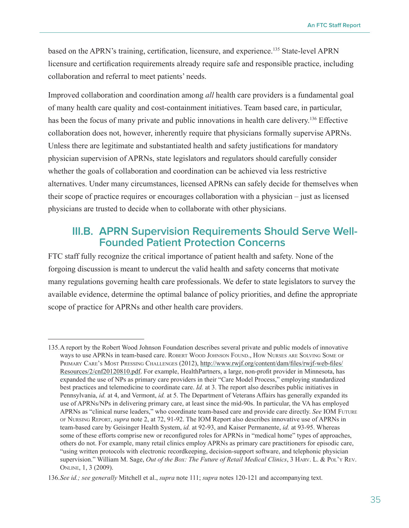<span id="page-38-0"></span>based on the APRN's training, certification, licensure, and experience.135 State-level APRN licensure and certification requirements already require safe and responsible practice, including collaboration and referral to meet patients' needs.

Improved collaboration and coordination among *all* health care providers is a fundamental goal of many health care quality and cost-containment initiatives. Team based care, in particular, has been the focus of many private and public innovations in health care delivery.<sup>136</sup> Effective collaboration does not, however, inherently require that physicians formally supervise APRNs. Unless there are legitimate and substantiated health and safety justifications for mandatory physician supervision of APRNs, state legislators and regulators should carefully consider whether the goals of collaboration and coordination can be achieved via less restrictive alternatives. Under many circumstances, licensed APRNs can safely decide for themselves when their scope of practice requires or encourages collaboration with a physician – just as licensed physicians are trusted to decide when to collaborate with other physicians.

#### **III.B. APRN Supervision Requirements Should Serve Well-Founded Patient Protection Concerns**

FTC staff fully recognize the critical importance of patient health and safety. None of the forgoing discussion is meant to undercut the valid health and safety concerns that motivate many regulations governing health care professionals. We defer to state legislators to survey the available evidence, determine the optimal balance of policy priorities, and define the appropriate scope of practice for APRNs and other health care providers.

<sup>135.</sup>A report by the Robert Wood Johnson Foundation describes several private and public models of innovative ways to use APRNs in team-based care. Robert Wood Johnson Found., How Nurses are Solving Some of PRIMARY CARE'S MOST PRESSING CHALLENGES (2012), [http://www.rwjf.org/content/dam/files/rwjf-web-files/](http://www.rwjf.org/content/dam/files/rwjf-web-files/Resources/2/cnf20120810.pdf) [Resources/2/cnf20120810.pdf](http://www.rwjf.org/content/dam/files/rwjf-web-files/Resources/2/cnf20120810.pdf). For example, HealthPartners, a large, non-profit provider in Minnesota, has expanded the use of NPs as primary care providers in their "Care Model Process," employing standardized best practices and telemedicine to coordinate care. *Id.* at 3. The report also describes public initiatives in Pennsylvania, *id.* at 4, and Vermont, *id.* at 5. The Department of Veterans Affairs has generally expanded its use of APRNs/NPs in delivering primary care, at least since the mid-90s. In particular, the VA has employed APRNs as "clinical nurse leaders," who coordinate team-based care and provide care directly. *See* IOM Future of Nursing Report, *supra* note 2, at 72, 91-92. The IOM Report also describes innovative use of APRNs in team-based care by Geisinger Health System, *id.* at 92-93, and Kaiser Permanente, *id.* at 93-95. Whereas some of these efforts comprise new or reconfigured roles for APRNs in "medical home" types of approaches, others do not. For example, many retail clinics employ APRNs as primary care practitioners for episodic care, "using written protocols with electronic recordkeeping, decision-support software, and telephonic physician supervision." William M. Sage, *Out of the Box: The Future of Retail Medical Clinics*, 3 Harv. L. & Pol'y Rev. Online, 1, 3 (2009).

<sup>136.</sup>*See id.; see generally* Mitchell et al., *supra* note 111; *supra* notes 120-121 and accompanying text.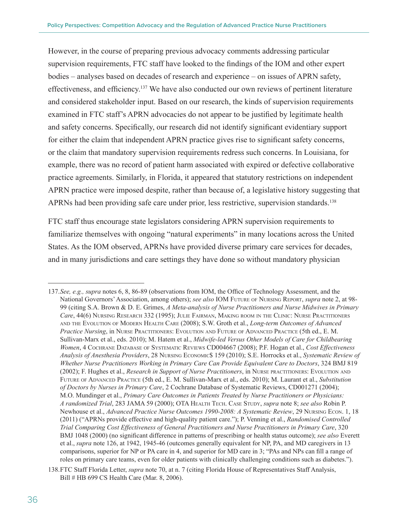However, in the course of preparing previous advocacy comments addressing particular supervision requirements, FTC staff have looked to the findings of the IOM and other expert bodies – analyses based on decades of research and experience – on issues of APRN safety, effectiveness, and efficiency.137 We have also conducted our own reviews of pertinent literature and considered stakeholder input. Based on our research, the kinds of supervision requirements examined in FTC staff's APRN advocacies do not appear to be justified by legitimate health and safety concerns. Specifically, our research did not identify significant evidentiary support for either the claim that independent APRN practice gives rise to significant safety concerns, or the claim that mandatory supervision requirements redress such concerns. In Louisiana, for example, there was no record of patient harm associated with expired or defective collaborative practice agreements. Similarly, in Florida, it appeared that statutory restrictions on independent APRN practice were imposed despite, rather than because of, a legislative history suggesting that APRNs had been providing safe care under prior, less restrictive, supervision standards.<sup>138</sup>

FTC staff thus encourage state legislators considering APRN supervision requirements to familiarize themselves with ongoing "natural experiments" in many locations across the United States. As the IOM observed, APRNs have provided diverse primary care services for decades, and in many jurisdictions and care settings they have done so without mandatory physician

<sup>137.</sup>*See, e.g., supra* notes 6, 8, 86-89 (observations from IOM, the Office of Technology Assessment, and the National Governors' Association, among others); *see also* IOM Future of Nursing Report, *supra* note 2, at 98- 99 (citing S.A. Brown & D. E. Grimes, *A Meta-analysis of Nurse Practitioners and Nurse Midwives in Primary Care*, 44(6) Nursing Research 332 (1995); Julie Fairman, Making room in the Clinic: Nurse Practitioners and the Evolution of Modern Health Care (2008); S.W. Groth et al., *Long-term Outcomes of Advanced Practice Nursing*, in Nurse Practitioners: Evolution and Future of Advanced Practice (5th ed., E. M. Sullivan-Marx et al., eds. 2010); M. Hatem et al., *Midwife-led Versus Other Models of Care for Childbearing Women*, 4 Cochrane Database of Systematic Reviews CD004667 (2008); P.F. Hogan et al., *Cost Effectiveness Analysis of Anesthesia Providers*, 28 Nursing Economic\$ 159 (2010); S.E. Horrocks et al., *Systematic Review of Whether Nurse Practitioners Working in Primary Care Can Provide Equivalent Care to Doctors*, 324 BMJ 819 (2002); F. Hughes et al., *Research in Support of Nurse Practitioners*, in Nurse practitioners: Evolution and Future of Advanced Practice (5th ed., E. M. Sullivan-Marx et al., eds. 2010); M. Laurant et al., *Substitution of Doctors by Nurses in Primary Care*, 2 Cochrane Database of Systematic Reviews, CD001271 (2004); M.O. Mundinger et al., *Primary Care Outcomes in Patients Treated by Nurse Practitioners or Physicians: A randomized Trial*, 283 JAMA 59 (2000); OTA Health Tech. Case Study, *supra* note 8; *see also* Robin P. Newhouse et al., *Advanced Practice Nurse Outcomes 1990-2008: A Systematic Review*, 29 Nursing Econ. 1, 18 (2011) ("APRNs provide effective and high-quality patient care."); P. Venning et al., *Randomised Controlled Trial Comparing Cost Effectiveness of General Practitioners and Nurse Practitioners in Primary Care*, 320 BMJ 1048 (2000) (no significant difference in patterns of prescribing or health status outcome); *see also* Everett et al., *supra* note 126, at 1942, 1945-46 (outcomes generally equivalent for NP, PA, and MD caregivers in 13 comparisons, superior for NP or PA care in 4, and superior for MD care in 3; "PAs and NPs can fill a range of roles on primary care teams, even for older patients with clinically challenging conditions such as diabetes.").

<sup>138.</sup>FTC Staff Florida Letter, *supra* note 70, at n. 7 (citing Florida House of Representatives Staff Analysis, Bill # HB 699 CS Health Care (Mar. 8, 2006).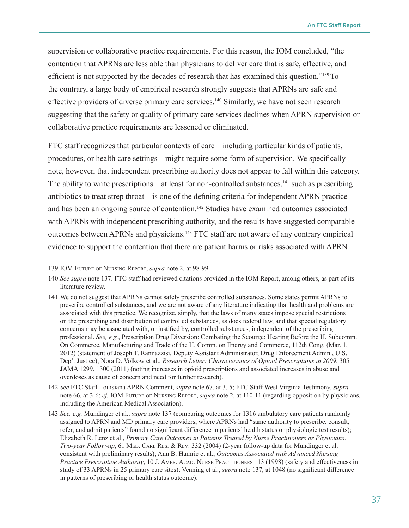supervision or collaborative practice requirements. For this reason, the IOM concluded, "the contention that APRNs are less able than physicians to deliver care that is safe, effective, and efficient is not supported by the decades of research that has examined this question."<sup>139</sup>To the contrary, a large body of empirical research strongly suggests that APRNs are safe and effective providers of diverse primary care services.<sup>140</sup> Similarly, we have not seen research suggesting that the safety or quality of primary care services declines when APRN supervision or collaborative practice requirements are lessened or eliminated.

FTC staff recognizes that particular contexts of care – including particular kinds of patients, procedures, or health care settings – might require some form of supervision. We specifically note, however, that independent prescribing authority does not appear to fall within this category. The ability to write prescriptions – at least for non-controlled substances, $141$  such as prescribing antibiotics to treat strep throat – is one of the defining criteria for independent APRN practice and has been an ongoing source of contention.<sup>142</sup> Studies have examined outcomes associated with APRNs with independent prescribing authority, and the results have suggested comparable outcomes between APRNs and physicians.<sup>143</sup> FTC staff are not aware of any contrary empirical evidence to support the contention that there are patient harms or risks associated with APRN

142.*See* FTC Staff Louisiana APRN Comment, *supra* note 67, at 3, 5; FTC Staff West Virginia Testimony, *supra* note 66, at 3-6; *cf.* IOM Future of Nursing Report, *supra* note 2, at 110-11 (regarding opposition by physicians, including the American Medical Association).

143.*See, e.g.* Mundinger et al., *supra* note 137 (comparing outcomes for 1316 ambulatory care patients randomly assigned to APRN and MD primary care providers, where APRNs had "same authority to prescribe, consult, refer, and admit patients" found no significant difference in patients' health status or physiologic test results); Elizabeth R. Lenz et al., *Primary Care Outcomes in Patients Treated by Nurse Practitioners or Physicians: Two-year Follow-up*, 61 MED. CARE RES. & REV. 332 (2004) (2-year follow-up data for Mundinger et al. consistent with preliminary results); Ann B. Hamric et al., *Outcomes Associated with Advanced Nursing Practice Prescriptive Authority*, 10 J. Amer. Acad. Nurse Practitioners 113 (1998) (safety and effectiveness in study of 33 APRNs in 25 primary care sites); Venning et al., *supra* note 137, at 1048 (no significant difference in patterns of prescribing or health status outcome).

<sup>139.</sup>IOM Future of Nursing Report, *supra* note 2, at 98-99.

<sup>140.</sup>*See supra* note 137. FTC staff had reviewed citations provided in the IOM Report, among others, as part of its literature review.

<sup>141.</sup>We do not suggest that APRNs cannot safely prescribe controlled substances. Some states permit APRNs to prescribe controlled substances, and we are not aware of any literature indicating that health and problems are associated with this practice. We recognize, simply, that the laws of many states impose special restrictions on the prescribing and distribution of controlled substances, as does federal law, and that special regulatory concerns may be associated with, or justified by, controlled substances, independent of the prescribing professional. *See, e.g.*, Prescription Drug Diversion: Combating the Scourge: Hearing Before the H. Subcomm. On Commerce, Manufacturing and Trade of the H. Comm. on Energy and Commerce, 112th Cong. (Mar. 1, 2012) (statement of Joseph T. Rannazzisi, Deputy Assistant Administrator, Drug Enforcement Admin., U.S. Dep't Justice); Nora D. Volkow et al., *Research Letter: Characteristics of Opioid Prescriptions in 2009*, 305 JAMA 1299, 1300 (2011) (noting increases in opioid prescriptions and associated increases in abuse and overdoses as cause of concern and need for further research).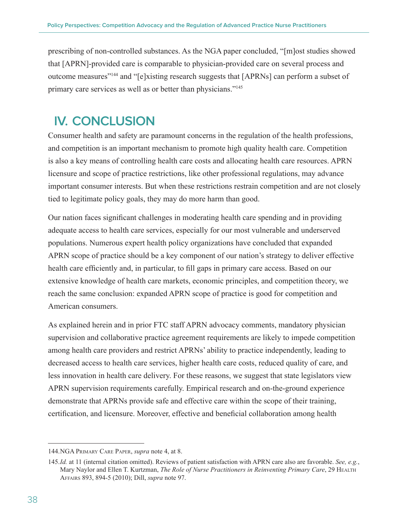<span id="page-41-0"></span>prescribing of non-controlled substances. As the NGA paper concluded, "[m]ost studies showed that [APRN]-provided care is comparable to physician-provided care on several process and outcome measures"144 and "[e]xisting research suggests that [APRNs] can perform a subset of primary care services as well as or better than physicians."145

## **IV. CONCLUSION**

Consumer health and safety are paramount concerns in the regulation of the health professions, and competition is an important mechanism to promote high quality health care. Competition is also a key means of controlling health care costs and allocating health care resources. APRN licensure and scope of practice restrictions, like other professional regulations, may advance important consumer interests. But when these restrictions restrain competition and are not closely tied to legitimate policy goals, they may do more harm than good.

Our nation faces significant challenges in moderating health care spending and in providing adequate access to health care services, especially for our most vulnerable and underserved populations. Numerous expert health policy organizations have concluded that expanded APRN scope of practice should be a key component of our nation's strategy to deliver effective health care efficiently and, in particular, to fill gaps in primary care access. Based on our extensive knowledge of health care markets, economic principles, and competition theory, we reach the same conclusion: expanded APRN scope of practice is good for competition and American consumers.

As explained herein and in prior FTC staff APRN advocacy comments, mandatory physician supervision and collaborative practice agreement requirements are likely to impede competition among health care providers and restrict APRNs' ability to practice independently, leading to decreased access to health care services, higher health care costs, reduced quality of care, and less innovation in health care delivery. For these reasons, we suggest that state legislators view APRN supervision requirements carefully. Empirical research and on-the-ground experience demonstrate that APRNs provide safe and effective care within the scope of their training, certification, and licensure. Moreover, effective and beneficial collaboration among health

<sup>144.</sup>NGA Primary Care Paper, *supra* note 4, at 8.

<sup>145.</sup>*Id.* at 11 (internal citation omitted). Reviews of patient satisfaction with APRN care also are favorable. *See, e.g.*, Mary Naylor and Ellen T. Kurtzman, *The Role of Nurse Practitioners in Reinventing Primary Care*, 29 HEALTH Affairs 893, 894-5 (2010); Dill, *supra* note 97.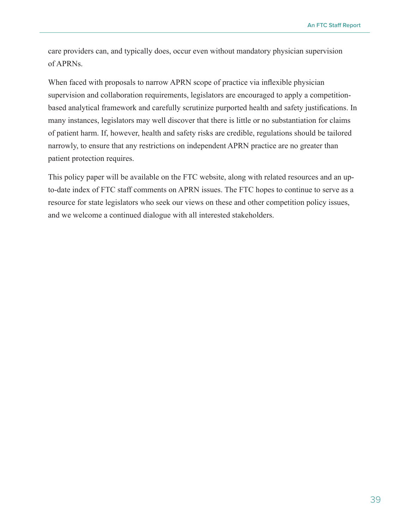care providers can, and typically does, occur even without mandatory physician supervision of APRNs.

When faced with proposals to narrow APRN scope of practice via inflexible physician supervision and collaboration requirements, legislators are encouraged to apply a competitionbased analytical framework and carefully scrutinize purported health and safety justifications. In many instances, legislators may well discover that there is little or no substantiation for claims of patient harm. If, however, health and safety risks are credible, regulations should be tailored narrowly, to ensure that any restrictions on independent APRN practice are no greater than patient protection requires.

This policy paper will be available on the FTC website, along with related resources and an upto-date index of FTC staff comments on APRN issues. The FTC hopes to continue to serve as a resource for state legislators who seek our views on these and other competition policy issues, and we welcome a continued dialogue with all interested stakeholders.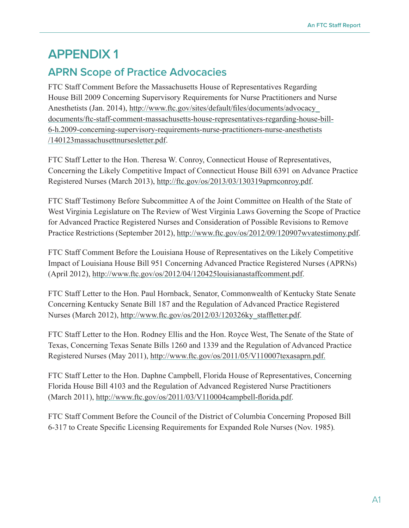## <span id="page-43-0"></span>**APPENDIX 1**

## **APRN Scope of Practice Advocacies**

[FTC Staff Comment Before the Massachusetts House of Representatives Regarding](file://\\apps\workprod\OPP\04120PP\OPPFiles\Advocacy\Policy%20Papers\APRN%20scope%20of%20practice\FTC%20Staff%20Comment%20Before%20the%20Massachusetts%20House%20of%20Representatives%20Regarding%20House%20Bill%202009%20Concerning%20Supervisory%20Requirements%20for%20Nurse%20Practitioners%20and%20Nurse%20Anesthetists%20(Jan.%202014))  [House Bill 2009 Concerning Supervisory Requirements for Nurse Practitioners and Nurse](file://\\apps\workprod\OPP\04120PP\OPPFiles\Advocacy\Policy%20Papers\APRN%20scope%20of%20practice\FTC%20Staff%20Comment%20Before%20the%20Massachusetts%20House%20of%20Representatives%20Regarding%20House%20Bill%202009%20Concerning%20Supervisory%20Requirements%20for%20Nurse%20Practitioners%20and%20Nurse%20Anesthetists%20(Jan.%202014))  [Anesthetists \(Jan. 2014\)](file://\\apps\workprod\OPP\04120PP\OPPFiles\Advocacy\Policy%20Papers\APRN%20scope%20of%20practice\FTC%20Staff%20Comment%20Before%20the%20Massachusetts%20House%20of%20Representatives%20Regarding%20House%20Bill%202009%20Concerning%20Supervisory%20Requirements%20for%20Nurse%20Practitioners%20and%20Nurse%20Anesthetists%20(Jan.%202014)), [http://www.ftc.gov/sites/default/files/documents/advocacy\\_](http://www.ftc.gov/sites/default/files/documents/advocacy_documents/ftc-staff-comment-massachusetts-house-representatives-regarding-house-bill-6-h.2009-concerning-supervisory-requirements-nurse-practitioners-nurse-anesthetists/140123massachusettnursesletter.pdf) [documents/ftc-staff-comment-massachusetts-house-representatives-regarding-house-bill-](http://www.ftc.gov/sites/default/files/documents/advocacy_documents/ftc-staff-comment-massachusetts-house-representatives-regarding-house-bill-6-h.2009-concerning-supervisory-requirements-nurse-practitioners-nurse-anesthetists/140123massachusettnursesletter.pdf)[6-h.2009-concerning-supervisory-requirements-nurse-practitioners-nurse-anesthetists](http://www.ftc.gov/sites/default/files/documents/advocacy_documents/ftc-staff-comment-massachusetts-house-representatives-regarding-house-bill-6-h.2009-concerning-supervisory-requirements-nurse-practitioners-nurse-anesthetists/140123massachusettnursesletter.pdf) /[140123massachusettnursesletter.pdf](http://www.ftc.gov/sites/default/files/documents/advocacy_documents/ftc-staff-comment-massachusetts-house-representatives-regarding-house-bill-6-h.2009-concerning-supervisory-requirements-nurse-practitioners-nurse-anesthetists/140123massachusettnursesletter.pdf).

FTC Staff Letter to the Hon. Theresa W. Conroy, Connecticut House of Representatives, Concerning the Likely Competitive Impact of Connecticut House Bill 6391 on Advance Practice Registered Nurses (March 2013), <http://ftc.gov/os/2013/03/130319aprnconroy.pdf>.

[FTC Staff Testimony Before Subcommittee A of the Joint Committee on Health of the State of](http://www.ftc.gov/os/2012/09/120907wvatestimony.pdf)  [West Virginia Legislature on The Review of West Virginia Laws Governing the Scope of Practice](http://www.ftc.gov/os/2012/09/120907wvatestimony.pdf)  [for Advanced Practice Registered Nurses and Consideration of Possible Revisions to Remove](http://www.ftc.gov/os/2012/09/120907wvatestimony.pdf)  [Practice Restrictions](http://www.ftc.gov/os/2012/09/120907wvatestimony.pdf) (September 2012),<http://www.ftc.gov/os/2012/09/120907wvatestimony.pdf>.

[FTC Staff Comment Before the Louisiana House of Representatives on the Likely Competitive](http://www.ftc.gov/os/2012/04/120425louisianastaffcomment.pdf)  [Impact of Louisiana House Bill 951 Concerning Advanced Practice Registered Nurses \(APRNs\)](http://www.ftc.gov/os/2012/04/120425louisianastaffcomment.pdf) (April 2012),<http://www.ftc.gov/os/2012/04/120425louisianastaffcomment.pdf>.

[FTC Staff Letter to the Hon. Paul Hornback, Senator, Commonwealth of Kentucky State Senate](http://www.ftc.gov/os/2012/03/120326ky_staffletter.pdf)  [Concerning Kentucky Senate Bill 187 and the Regulation of Advanced Practice Registered](http://www.ftc.gov/os/2012/03/120326ky_staffletter.pdf)  [Nurses](http://www.ftc.gov/os/2012/03/120326ky_staffletter.pdf) (March 2012), [http://www.ftc.gov/os/2012/03/120326ky\\_staffletter.pdf](http://www.ftc.gov/os/2012/03/120326ky_staffletter.pdf).

[FTC Staff Letter to the Hon. Rodney Ellis and the Hon. Royce West, The Senate of the State of](http://www.ftc.gov/os/2011/05/V110007texasaprn.pdf)  [Texas, Concerning Texas Senate Bills 1260 and 1339 and the Regulation of Advanced Practice](http://www.ftc.gov/os/2011/05/V110007texasaprn.pdf)  [Registered Nurses](http://www.ftc.gov/os/2011/05/V110007texasaprn.pdf) (May 2011),<http://www.ftc.gov/os/2011/05/V110007texasaprn.pdf>.

[FTC Staff Letter to the Hon. Daphne Campbell, Florida House of Representatives, Concerning](http://www.ftc.gov/os/2011/03/V110004campbell-florida.pdf)  [Florida House Bill 4103 and the Regulation of Advanced Registered Nurse Practitioners](http://www.ftc.gov/os/2011/03/V110004campbell-florida.pdf) (March 2011), <http://www.ftc.gov/os/2011/03/V110004campbell-florida.pdf>.

[FTC Staff Comment Before the Council of the District of Columbia Concerning Proposed Bill](http://www.ftc.gov/be/healthcare/docs/AF%2058.PDF)  [6-317 to Create Specific Licensing Requirements for Expanded Role Nurses](http://www.ftc.gov/be/healthcare/docs/AF%2058.PDF) (Nov. 1985)*.*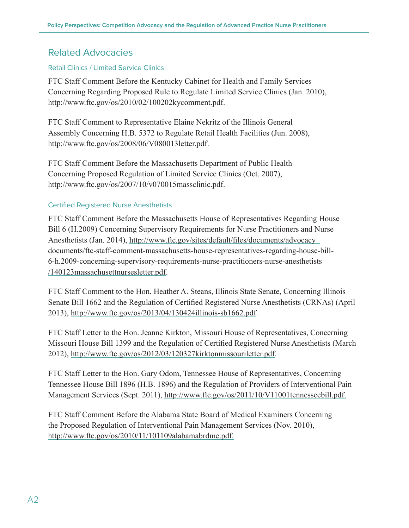#### Related Advocacies

#### Retail Clinics / Limited Service Clinics

[FTC Staff Comment Before the Kentucky Cabinet for Health and Family Services](http://www.ftc.gov/os/2010/02/100202kycomment.pdf)  [Concerning Regarding Proposed Rule to Regulate Limited Service Clinics](http://www.ftc.gov/os/2010/02/100202kycomment.pdf) (Jan. 2010), <http://www.ftc.gov/os/2010/02/100202kycomment.pdf>.

[FTC Staff Comment to Representative Elaine Nekritz of the Illinois General](http://www.ftc.gov/os/2008/06/V080013letter.pdf)  [Assembly Concerning H.B. 5372 to Regulate Retail Health Facilities](http://www.ftc.gov/os/2008/06/V080013letter.pdf) (Jun. 2008), <http://www.ftc.gov/os/2008/06/V080013letter.pdf>.

[FTC Staff Comment Before the Massachusetts Department of Public Health](http://www.ftc.gov/os/2007/10/v070015massclinic.pdf)  [Concerning Proposed Regulation of Limited Service Clinics](http://www.ftc.gov/os/2007/10/v070015massclinic.pdf) (Oct. 2007), <http://www.ftc.gov/os/2007/10/v070015massclinic.pdf>.

#### Certified Registered Nurse Anesthetists

[FTC Staff Comment Before the Massachusetts House of Representatives Regarding House](http://www.ftc.gov/sites/default/files/documents/advocacy_documents/ftc-staff-comment-massachusetts-house-representatives-regarding-house-bill-6-h.2009-concerning-supervisory-requirements-nurse-practitioners-nurse-anesthetists/140123massachusettnursesletter.pdf)  [Bill 6 \(H.2009\) Concerning Supervisory Requirements for Nurse Practitioners and Nurse](http://www.ftc.gov/sites/default/files/documents/advocacy_documents/ftc-staff-comment-massachusetts-house-representatives-regarding-house-bill-6-h.2009-concerning-supervisory-requirements-nurse-practitioners-nurse-anesthetists/140123massachusettnursesletter.pdf)  [Anesthetists \(Jan. 2014\)](http://www.ftc.gov/sites/default/files/documents/advocacy_documents/ftc-staff-comment-massachusetts-house-representatives-regarding-house-bill-6-h.2009-concerning-supervisory-requirements-nurse-practitioners-nurse-anesthetists/140123massachusettnursesletter.pdf), [http://www.ftc.gov/sites/default/files/documents/advocacy\\_](http://www.ftc.gov/sites/default/files/documents/advocacy_documents/ftc-staff-comment-massachusetts-house-representatives-regarding-house-bill-6-h.2009-concerning-supervisory-requirements-nurse-practitioners-nurse-anesthetists/140123massachusettnursesletter.pdf) [documents/ftc-staff-comment-massachusetts-house-representatives-regarding-house-bill-](http://www.ftc.gov/sites/default/files/documents/advocacy_documents/ftc-staff-comment-massachusetts-house-representatives-regarding-house-bill-6-h.2009-concerning-supervisory-requirements-nurse-practitioners-nurse-anesthetists/140123massachusettnursesletter.pdf)[6-h.2009-concerning-supervisory-requirements-nurse-practitioners-nurse-anesthetists](http://www.ftc.gov/sites/default/files/documents/advocacy_documents/ftc-staff-comment-massachusetts-house-representatives-regarding-house-bill-6-h.2009-concerning-supervisory-requirements-nurse-practitioners-nurse-anesthetists/140123massachusettnursesletter.pdf) /[140123massachusettnursesletter.pdf](http://www.ftc.gov/sites/default/files/documents/advocacy_documents/ftc-staff-comment-massachusetts-house-representatives-regarding-house-bill-6-h.2009-concerning-supervisory-requirements-nurse-practitioners-nurse-anesthetists/140123massachusettnursesletter.pdf).

[FTC Staff Comment to the Hon. Heather A. Steans, Illinois State Senate, Concerning Illinois](http://www.ftc.gov/os/2013/04/130424illinois-sb1662.pdf)  [Senate Bill 1662 and the Regulation of Certified Registered Nurse Anesthetists \(CRNAs\)](http://www.ftc.gov/os/2013/04/130424illinois-sb1662.pdf) (April 2013), <http://www.ftc.gov/os/2013/04/130424illinois-sb1662.pdf>.

[FTC Staff Letter to the Hon. Jeanne Kirkton, Missouri House of Representatives, Concerning](http://www.ftc.gov/os/2012/03/120327kirktonmissouriletter.pdf)  [Missouri House Bill 1399 and the Regulation of Certified Registered Nurse Anesthetists](http://www.ftc.gov/os/2012/03/120327kirktonmissouriletter.pdf) (March 2012), <http://www.ftc.gov/os/2012/03/120327kirktonmissouriletter.pdf>.

[FTC Staff Letter to the Hon. Gary Odom, Tennessee House of Representatives, Concerning](http://www.ftc.gov/os/2011/10/V11001tennesseebill.pdf)  [Tennessee House Bill 1896 \(H.B. 1896\) and the Regulation of Providers of Interventional Pain](http://www.ftc.gov/os/2011/10/V11001tennesseebill.pdf)  [Management Services](http://www.ftc.gov/os/2011/10/V11001tennesseebill.pdf) (Sept. 2011),<http://www.ftc.gov/os/2011/10/V11001tennesseebill.pdf>.

[FTC Staff Comment Before the Alabama State Board of Medical Examiners Concerning](http://www.ftc.gov/os/2010/11/101109alabamabrdme.pdf)  [the Proposed Regulation of Interventional Pain Management Services](http://www.ftc.gov/os/2010/11/101109alabamabrdme.pdf) (Nov. 2010), <http://www.ftc.gov/os/2010/11/101109alabamabrdme.pdf>.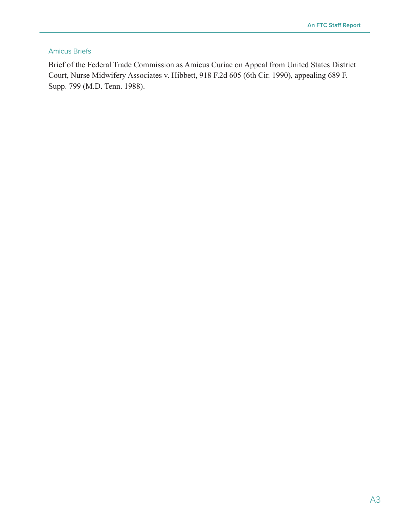#### Amicus Briefs

Brief of the Federal Trade Commission as Amicus Curiae on Appeal from United States District Court, Nurse Midwifery Associates v. Hibbett, 918 F.2d 605 (6th Cir. 1990), appealing 689 F. Supp. 799 (M.D. Tenn. 1988).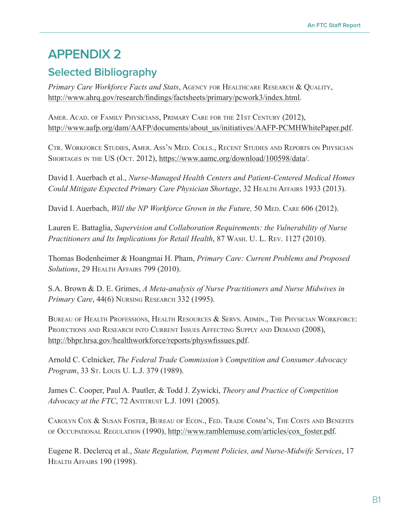## <span id="page-46-0"></span>**APPENDIX 2**

## **Selected Bibliography**

Primary Care Workforce Facts and Stats, AGENCY FOR HEALTHCARE RESEARCH & QUALITY, <http://www.ahrq.gov/research/findings/factsheets/primary/pcwork3/index.html>.

Amer. Acad. of Family Physicians, Primary Care for the 21st Century (2012), [http://www.aafp.org/dam/AAFP/documents/about\\_us/initiatives/AAFP-PCMHWhitePaper.pdf](http://www.aafp.org/dam/AAFP/documents/about_us/initiatives/AAFP-PCMHWhitePaper.pdf).

Ctr. Workforce Studies, Amer. Ass'n Med. Colls., Recent Studies and Reports on Physician Shortages in the US (Oct. 2012), [https://www.aamc.org/download/100598/data](https://www.aamc.org/download/100598/data/)/.

David I. Auerbach et al., *Nurse-Managed Health Centers and Patient-Centered Medical Homes Could Mitigate Expected Primary Care Physician Shortage*, 32 Health Affairs 1933 (2013).

David I. Auerbach, *Will the NP Workforce Grown in the Future*, 50 MED. CARE 606 (2012).

Lauren E. Battaglia, *Supervision and Collaboration Requirements: the Vulnerability of Nurse Practitioners and Its Implications for Retail Health*, 87 Wash. U. L. Rev. 1127 (2010).

Thomas Bodenheimer & Hoangmai H. Pham, *Primary Care: Current Problems and Proposed Solutions*, 29 Health Affairs 799 (2010).

S.A. Brown & D. E. Grimes, *A Meta-analysis of Nurse Practitioners and Nurse Midwives in Primary Care*, 44(6) NURSING RESEARCH 332 (1995).

BUREAU OF HEALTH PROFESSIONS, HEALTH RESOURCES & SERVS. ADMIN., THE PHYSICIAN WORKFORCE: PROJECTIONS AND RESEARCH INTO CURRENT ISSUES AFFECTING SUPPLY AND DEMAND (2008), <http://bhpr.hrsa.gov/healthworkforce/reports/physwfissues.pdf>.

Arnold C. Celnicker, *The Federal Trade Commission's Competition and Consumer Advocacy Program*, 33 St. Louis U. L.J. 379 (1989).

James C. Cooper, Paul A. Pautler, & Todd J. Zywicki, *Theory and Practice of Competition Advocacy at the FTC*, 72 ANTITRUST L.J. 1091 (2005).

Carolyn Cox & Susan Foster, Bureau of Econ., Fed. Trade Comm'n, The Costs and Benefits of Occupational Regulation (1990), [http://www.ramblemuse.com/articles/cox\\_foster.pdf](http://www.ramblemuse.com/articles/cox_foster.pdf).

Eugene R. Declercq et al., *State Regulation, Payment Policies, and Nurse-Midwife Services*, 17 Health Affairs 190 (1998).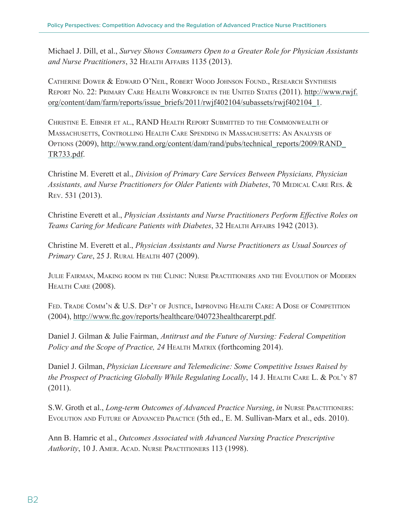Michael J. Dill, et al., *Survey Shows Consumers Open to a Greater Role for Physician Assistants*  and Nurse Practitioners, 32 HEALTH AFFAIRS 1135 (2013).

Catherine Dower & Edward O'Neil, Robert Wood Johnson Found., Research Synthesis Report No. 22: Primary Care Health Workforce in the United States (2011). [http://www.rwjf.](http://www.rwjf.org/content/dam/farm/reports/issue_briefs/2011/rwjf402104/subassets/rwjf402104_1) [org/content/dam/farm/reports/issue\\_briefs/2011/rwjf402104/subassets/rwjf402104\\_1](http://www.rwjf.org/content/dam/farm/reports/issue_briefs/2011/rwjf402104/subassets/rwjf402104_1).

CHRISTINE E. EIBNER ET AL., RAND HEALTH REPORT SUBMITTED TO THE COMMONWEALTH OF Massachusetts, Controlling Health Care Spending in Massachusetts: An Analysis of Options (2009), [http://www.rand.org/content/dam/rand/pubs/technical\\_reports/2009/RAND\\_](http://www.rand.org/content/dam/rand/pubs/technical_reports/2009/RAND_TR733.pdf) [TR733.pdf](http://www.rand.org/content/dam/rand/pubs/technical_reports/2009/RAND_TR733.pdf).

Christine M. Everett et al., *Division of Primary Care Services Between Physicians, Physician*  Assistants, and Nurse Practitioners for Older Patients with Diabetes, 70 MEDICAL CARE RES. & Rev. 531 (2013).

Christine Everett et al., *Physician Assistants and Nurse Practitioners Perform Effective Roles on Teams Caring for Medicare Patients with Diabetes*, 32 Health Affairs 1942 (2013).

Christine M. Everett et al., *Physician Assistants and Nurse Practitioners as Usual Sources of Primary Care*, 25 J. Rural Health 407 (2009).

Julie Fairman, Making room in the Clinic: Nurse Practitioners and the Evolution of Modern HEALTH CARE (2008).

FED. TRADE COMM'N & U.S. DEP'T OF JUSTICE, IMPROVING HEALTH CARE: A DOSE OF COMPETITION (2004), <http://www.ftc.gov/reports/healthcare/040723healthcarerpt.pdf>.

Daniel J. Gilman & Julie Fairman, *Antitrust and the Future of Nursing: Federal Competition Policy and the Scope of Practice, 24 HEALTH MATRIX (forthcoming 2014).* 

Daniel J. Gilman, *Physician Licensure and Telemedicine: Some Competitive Issues Raised by the Prospect of Practicing Globally While Regulating Locally*, 14 J. HEALTH CARE L. & POL'Y 87 (2011).

S.W. Groth et al., *Long-term Outcomes of Advanced Practice Nursing*, *in* Nurse Practitioners: Evolution and Future of Advanced Practice (5th ed., E. M. Sullivan-Marx et al., eds. 2010).

Ann B. Hamric et al., *Outcomes Associated with Advanced Nursing Practice Prescriptive Authority*, 10 J. Amer. Acad. Nurse Practitioners 113 (1998).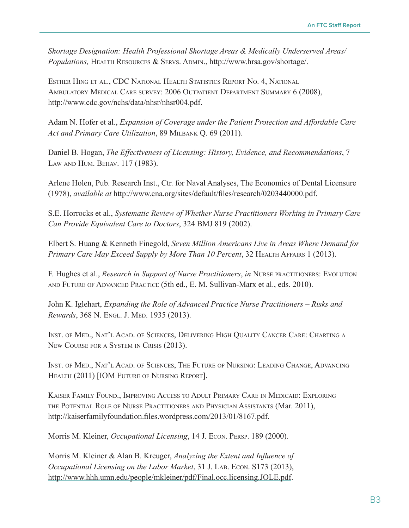*Shortage Designation: Health Professional Shortage Areas & Medically Underserved Areas/ Populations,* Health Resources & Servs. Admin., [http://www.hrsa.gov/shortage/.](http://www.hrsa.gov/shortage/)

Esther Hing et al., CDC National Health Statistics Report No. 4, National Ambulatory Medical Care survey: 2006 Outpatient Department Summary 6 (2008), <http://www.cdc.gov/nchs/data/nhsr/nhsr004.pdf>.

Adam N. Hofer et al., *Expansion of Coverage under the Patient Protection and Affordable Care Act and Primary Care Utilization*, 89 Milbank Q. 69 (2011).

Daniel B. Hogan, *The Effectiveness of Licensing: History, Evidence, and Recommendations*, 7 Law and Hum. Behav. 117 (1983).

Arlene Holen, Pub. Research Inst., Ctr. for Naval Analyses, The Economics of Dental Licensure (1978), *available at* <http://www.cna.org/sites/default/files/research/0203440000.pdf>.

S.E. Horrocks et al., *Systematic Review of Whether Nurse Practitioners Working in Primary Care Can Provide Equivalent Care to Doctors*, 324 BMJ 819 (2002).

Elbert S. Huang & Kenneth Finegold, *Seven Million Americans Live in Areas Where Demand for Primary Care May Exceed Supply by More Than 10 Percent*, 32 HEALTH AFFAIRS 1 (2013).

F. Hughes et al., *Research in Support of Nurse Practitioners*, *in* Nurse practitioners: Evolution and Future of Advanced Practice (5th ed., E. M. Sullivan-Marx et al., eds. 2010).

John K. Iglehart, *Expanding the Role of Advanced Practice Nurse Practitioners – Risks and Rewards*, 368 N. Engl. J. Med. 1935 (2013).

Inst. of Med., Nat'l Acad. of Sciences, Delivering High Quality Cancer Care: Charting <sup>a</sup> New Course for <sup>a</sup> System in Crisis (2013).

Inst. of Med., Nat'l Acad. of Sciences, The Future of Nursing: Leading Change, Advancing Health (2011) [IOM Future of Nursing Report].

Kaiser Family Found., Improving Access to Adult Primary Care in Medicaid: Exploring the Potential Role of Nurse Practitioners and Physician Assistants (Mar. 2011), <http://kaiserfamilyfoundation.files.wordpress.com/2013/01/8167.pdf>.

Morris M. Kleiner, *Occupational Licensing*, 14 J. Econ. Persp. 189 (2000)*.*

Morris M. Kleiner & Alan B. Kreuger, *Analyzing the Extent and Influence of Occupational Licensing on the Labor Market*, 31 J. Lab. Econ. S173 (2013), <http://www.hhh.umn.edu/people/mkleiner/pdf/Final.occ.licensing.JOLE.pdf>.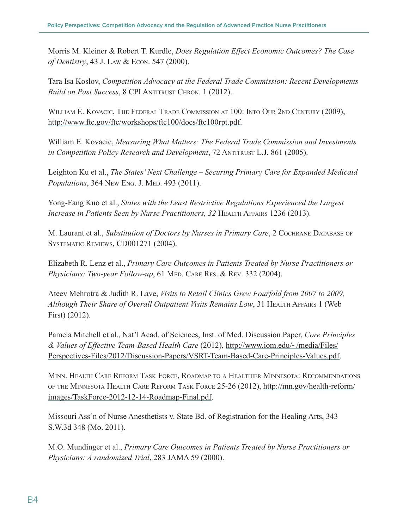Morris M. Kleiner & Robert T. Kurdle, *Does Regulation Effect Economic Outcomes? The Case of Dentistry*, 43 J. Law & Econ. 547 (2000).

Tara Isa Koslov, *Competition Advocacy at the Federal Trade Commission: Recent Developments Build on Past Success*, 8 CPI ANTITRUST CHRON. 1 (2012).

William E. Kovacic, The Federal Trade Commission at 100: Into Our 2nd Century (2009), <http://www.ftc.gov/ftc/workshops/ftc100/docs/ftc100rpt.pdf>.

William E. Kovacic, *Measuring What Matters: The Federal Trade Commission and Investments in Competition Policy Research and Development*, 72 ANTITRUST L.J. 861 (2005).

Leighton Ku et al., *The States' Next Challenge – Securing Primary Care for Expanded Medicaid Populations*, 364 New Eng. J. Med. 493 (2011).

Yong-Fang Kuo et al., *States with the Least Restrictive Regulations Experienced the Largest Increase in Patients Seen by Nurse Practitioners, 32 HEALTH AFFAIRS 1236 (2013).* 

M. Laurant et al., *Substitution of Doctors by Nurses in Primary Care*, 2 COCHRANE DATABASE OF Systematic Reviews, CD001271 (2004).

Elizabeth R. Lenz et al., *Primary Care Outcomes in Patients Treated by Nurse Practitioners or Physicians: Two-year Follow-up*, 61 MED. CARE RES. & REV. 332 (2004).

[Ateev Mehrotra](http://content.healthaffairs.org/search?author1=Ateev+Mehrotra&sortspec=date&submit=Submit) & [Judith R. Lave,](http://content.healthaffairs.org/search?author1=Judith+R.+Lave&sortspec=date&submit=Submit) *Visits to Retail Clinics Grew Fourfold from 2007 to 2009, Although Their Share of Overall Outpatient Visits Remains Low*, 31 Health Affairs 1 (Web First) (2012).

Pamela Mitchell et al., Nat'l Acad. of Sciences, Inst. of Med. Discussion Paper, *Core Principles & Values of Effective Team-Based Health Care* (2012), [http://www.iom.edu/~/media/Files/](http://www.iom.edu/~/media/Files/Perspectives-Files/2012/Discussion-Papers/VSRT-Team-Based-Care-Principles-Values.pdf) [Perspectives-Files/2012/Discussion-Papers/VSRT-Team-Based-Care-Principles-Values.pdf](http://www.iom.edu/~/media/Files/Perspectives-Files/2012/Discussion-Papers/VSRT-Team-Based-Care-Principles-Values.pdf).

Minn. Health Care Reform Task Force, Roadmap to <sup>a</sup> Healthier Minnesota: Recommendations of the Minnesota Health Care Reform Task Force 25-26 (2012), [http://mn.gov/health-reform/](http://mn.gov/health-reform/images/TaskForce-2012-12-14-Roadmap-Final.pdf) [images/TaskForce-2012-12-14-Roadmap-Final.pdf](http://mn.gov/health-reform/images/TaskForce-2012-12-14-Roadmap-Final.pdf).

Missouri Ass'n of Nurse Anesthetists v. State Bd. of Registration for the Healing Arts, 343 S.W.3d 348 (Mo. 2011).

M.O. Mundinger et al., *Primary Care Outcomes in Patients Treated by Nurse Practitioners or Physicians: A randomized Trial*, 283 JAMA 59 (2000).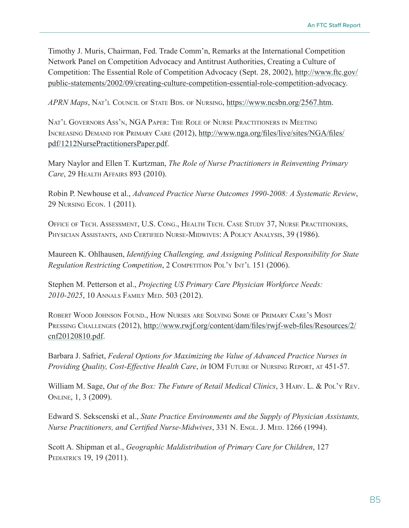Timothy J. Muris, Chairman, Fed. Trade Comm'n, Remarks at the International Competition Network Panel on Competition Advocacy and Antitrust Authorities, Creating a Culture of Competition: The Essential Role of Competition Advocacy (Sept. 28, 2002), [http://www.ftc.gov/](http://www.ftc.gov/public-statements/2002/09/creating-culture-competition-essential-role-competition-advocacy) [public-statements/2002/09/creating-culture-competition-essential-role-competition-advocacy](http://www.ftc.gov/public-statements/2002/09/creating-culture-competition-essential-role-competition-advocacy).

*APRN Maps*, Nat'l Council of State Bds. of Nursing, <https://www.ncsbn.org/2567.htm>.

Nat'l Governors Ass'n, NGA Paper: The Role of Nurse Practitioners in Meeting Increasing Demand for Primary Care (2012), [http://www.nga.org/files/live/sites/NGA/files/](http://www.nga.org/files/live/sites/NGA/files/pdf/1212NursePractitionersPaper.pdf) [pdf/1212NursePractitionersPaper.pdf](http://www.nga.org/files/live/sites/NGA/files/pdf/1212NursePractitionersPaper.pdf).

Mary Naylor and Ellen T. Kurtzman, *The Role of Nurse Practitioners in Reinventing Primary Care*, 29 Health Affairs 893 (2010).

Robin P. Newhouse et al., *Advanced Practice Nurse Outcomes 1990-2008: A Systematic Review*, 29 Nursing Econ. 1 (2011).

Office of Tech. Assessment, U.S. Cong., Health Tech. Case Study 37, Nurse Practitioners, Physician Assistants, and Certified Nurse-Midwives: A Policy Analysis, 39 (1986).

Maureen K. Ohlhausen, *Identifying Challenging, and Assigning Political Responsibility for State Regulation Restricting Competition*, 2 COMPETITION POL'Y INT'L 151 (2006).

Stephen M. Petterson et al., *Projecting US Primary Care Physician Workforce Needs: 2010-2025*, 10 Annals Family Med. 503 (2012).

Robert Wood Johnson Found., How Nurses are Solving Some of Primary Care's Most PRESSING CHALLENGES (2012), [http://www.rwjf.org/content/dam/files/rwjf-web-files/Resources/2/](http://www.rwjf.org/content/dam/files/rwjf-web-files/Resources/2/cnf20120810.pdf) [cnf20120810.pdf](http://www.rwjf.org/content/dam/files/rwjf-web-files/Resources/2/cnf20120810.pdf).

Barbara J. Safriet, *Federal Options for Maximizing the Value of Advanced Practice Nurses in Providing Quality, Cost-Effective Health Care, in IOM FUTURE OF NURSING REPORT, AT 451-57.* 

William M. Sage, *Out of the Box: The Future of Retail Medical Clinics*, 3 HARV. L. & POL'Y REV. Online, 1, 3 (2009).

Edward S. Sekscenski et al., *State Practice Environments and the Supply of Physician Assistants, Nurse Practitioners, and Certified Nurse-Midwives, 331 N. Engl. J. Med. 1266 (1994).* 

Scott A. Shipman et al., *Geographic Maldistribution of Primary Care for Children*, 127 PEDIATRICS 19, 19 (2011).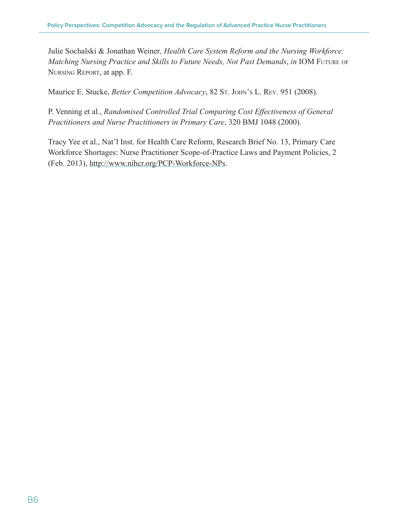Julie Sochalski & Jonathan Weiner*, Health Care System Reform and the Nursing Workforce: Matching Nursing Practice and Skills to Future Needs, Not Past Demands*, *in* IOM Future of Nursing Report, at app. F.

Maurice E. Stucke, *Better Competition Advocacy*, 82 St. John's L. Rev. 951 (2008).

P. Venning et al., *Randomised Controlled Trial Comparing Cost Effectiveness of General Practitioners and Nurse Practitioners in Primary Care*, 320 BMJ 1048 (2000).

Tracy Yee et al., Nat'l Inst. for Health Care Reform, Research Brief No. 13, Primary Care Workforce Shortages: Nurse Practitioner Scope-of-Practice Laws and Payment Policies, 2 (Feb. 2013), <http://www.nihcr.org/PCP-Workforce-NPs>.